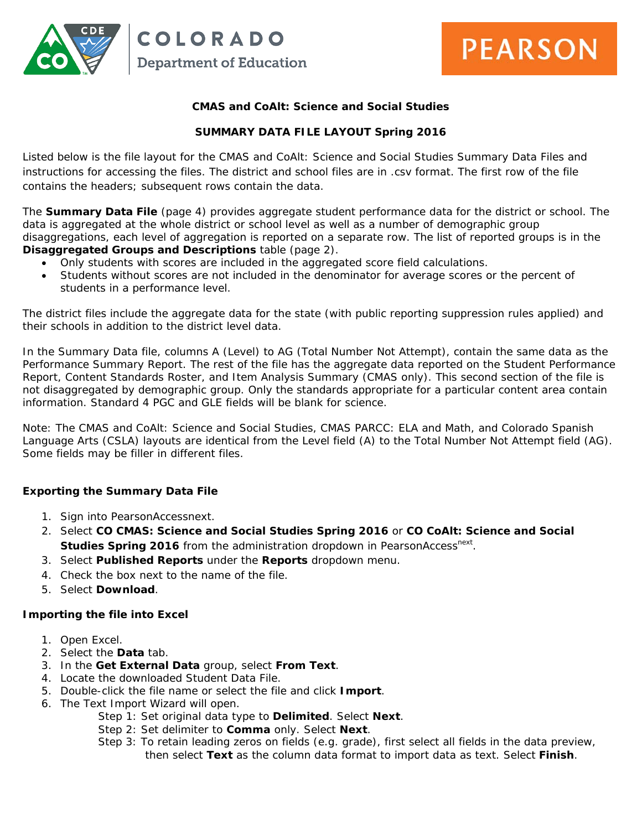

the control of the control of the control of the control of the control of

### **CMAS and CoAlt: Science and Social Studies**

## **SUMMARY DATA FILE LAYOUT Spring 2016**

Listed below is the file layout for the CMAS and CoAlt: Science and Social Studies Summary Data Files and instructions for accessing the files. The district and school files are in .csv format. The first row of the file contains the headers; subsequent rows contain the data.

The **Summary Data File** (page 4) provides aggregate student performance data for the district or school. The data is aggregated at the whole district or school level as well as a number of demographic group disaggregations, each level of aggregation is reported on a separate row. The list of reported groups is in the **Disaggregated Groups and Descriptions** table (page 2).

- Only students with scores are included in the aggregated score field calculations.
- Students without scores are not included in the denominator for average scores or the percent of students in a performance level.

The district files include the aggregate data for the state (with public reporting suppression rules applied) and their schools in addition to the district level data.

In the Summary Data file, columns A (Level) to AG (Total Number Not Attempt), contain the same data as the Performance Summary Report. The rest of the file has the aggregate data reported on the Student Performance Report, Content Standards Roster, and Item Analysis Summary (CMAS only). This second section of the file is not disaggregated by demographic group. Only the standards appropriate for a particular content area contain information. Standard 4 PGC and GLE fields will be blank for science.

Note: The CMAS and CoAlt: Science and Social Studies, CMAS PARCC: ELA and Math, and Colorado Spanish Language Arts (CSLA) layouts are identical from the Level field (A) to the Total Number Not Attempt field (AG). Some fields may be filler in different files.

#### **Exporting the Summary Data File**

- 1. Sign into PearsonAccessnext.
- 2. Select **CO CMAS: Science and Social Studies Spring 2016** or **CO CoAlt: Science and Social Studies Spring 2016** from the administration dropdown in PearsonAccess<sup>next</sup>.
- 3. Select **Published Reports** under the **Reports** dropdown menu.
- 4. Check the box next to the name of the file.
- 5. Select **Download**.

#### **Importing the file into Excel**

- 1. Open Excel.
- 2. Select the **Data** tab.
- 3. In the **Get External Data** group, select **From Text**.
- 4. Locate the downloaded Student Data File.
- 5. Double-click the file name or select the file and click **Import**.
- 6. The Text Import Wizard will open.
	- Step 1: Set original data type to **Delimited**. Select **Next**.
	- Step 2: Set delimiter to **Comma** only. Select **Next**.
	- Step 3: To retain leading zeros on fields (e.g. grade), first select all fields in the data preview, then select **Text** as the column data format to import data as text. Select **Finish**.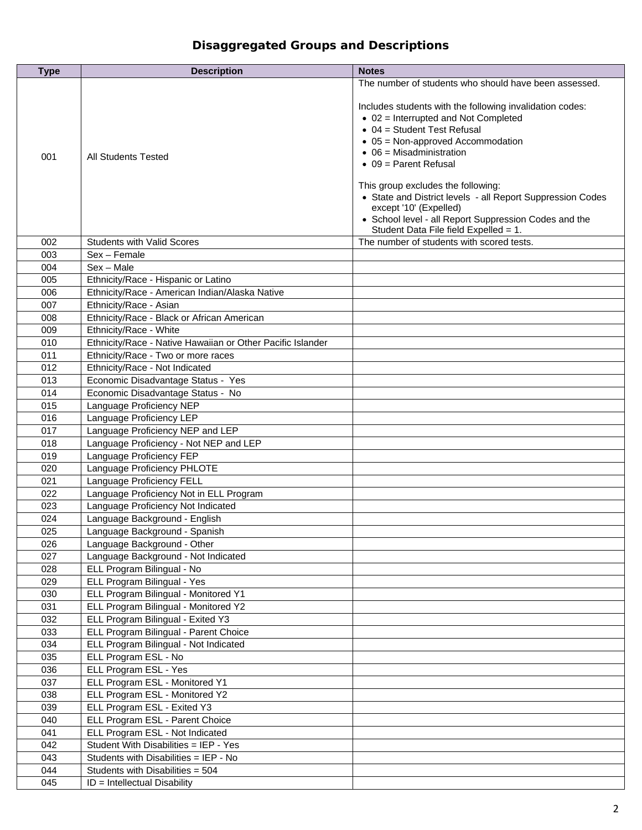# **Disaggregated Groups and Descriptions**

| <b>Type</b> | <b>Description</b>                                         | <b>Notes</b>                                                                                                                                                                                                                                                                                                                                                                                                                                                                                      |
|-------------|------------------------------------------------------------|---------------------------------------------------------------------------------------------------------------------------------------------------------------------------------------------------------------------------------------------------------------------------------------------------------------------------------------------------------------------------------------------------------------------------------------------------------------------------------------------------|
|             |                                                            | The number of students who should have been assessed.                                                                                                                                                                                                                                                                                                                                                                                                                                             |
| 001         | All Students Tested                                        | Includes students with the following invalidation codes:<br>$\bullet$ 02 = Interrupted and Not Completed<br>$\bullet$ 04 = Student Test Refusal<br>$\bullet$ 05 = Non-approved Accommodation<br>$\bullet$ 06 = Misadministration<br>$\bullet$ 09 = Parent Refusal<br>This group excludes the following:<br>• State and District levels - all Report Suppression Codes<br>except '10' (Expelled)<br>• School level - all Report Suppression Codes and the<br>Student Data File field Expelled = 1. |
| 002         | <b>Students with Valid Scores</b>                          | The number of students with scored tests.                                                                                                                                                                                                                                                                                                                                                                                                                                                         |
| 003         | Sex - Female                                               |                                                                                                                                                                                                                                                                                                                                                                                                                                                                                                   |
| 004         | $Sex - Male$                                               |                                                                                                                                                                                                                                                                                                                                                                                                                                                                                                   |
|             |                                                            |                                                                                                                                                                                                                                                                                                                                                                                                                                                                                                   |
| 005         | Ethnicity/Race - Hispanic or Latino                        |                                                                                                                                                                                                                                                                                                                                                                                                                                                                                                   |
| 006         | Ethnicity/Race - American Indian/Alaska Native             |                                                                                                                                                                                                                                                                                                                                                                                                                                                                                                   |
| 007         | Ethnicity/Race - Asian                                     |                                                                                                                                                                                                                                                                                                                                                                                                                                                                                                   |
| 008         | Ethnicity/Race - Black or African American                 |                                                                                                                                                                                                                                                                                                                                                                                                                                                                                                   |
| 009         | Ethnicity/Race - White                                     |                                                                                                                                                                                                                                                                                                                                                                                                                                                                                                   |
| 010         | Ethnicity/Race - Native Hawaiian or Other Pacific Islander |                                                                                                                                                                                                                                                                                                                                                                                                                                                                                                   |
| 011         | Ethnicity/Race - Two or more races                         |                                                                                                                                                                                                                                                                                                                                                                                                                                                                                                   |
| 012         | Ethnicity/Race - Not Indicated                             |                                                                                                                                                                                                                                                                                                                                                                                                                                                                                                   |
| 013         | Economic Disadvantage Status - Yes                         |                                                                                                                                                                                                                                                                                                                                                                                                                                                                                                   |
| 014         | Economic Disadvantage Status - No                          |                                                                                                                                                                                                                                                                                                                                                                                                                                                                                                   |
| 015         | Language Proficiency NEP                                   |                                                                                                                                                                                                                                                                                                                                                                                                                                                                                                   |
| 016         | Language Proficiency LEP                                   |                                                                                                                                                                                                                                                                                                                                                                                                                                                                                                   |
| 017         | Language Proficiency NEP and LEP                           |                                                                                                                                                                                                                                                                                                                                                                                                                                                                                                   |
| 018         | Language Proficiency - Not NEP and LEP                     |                                                                                                                                                                                                                                                                                                                                                                                                                                                                                                   |
| 019         | Language Proficiency FEP                                   |                                                                                                                                                                                                                                                                                                                                                                                                                                                                                                   |
| 020         | Language Proficiency PHLOTE                                |                                                                                                                                                                                                                                                                                                                                                                                                                                                                                                   |
| 021         | Language Proficiency FELL                                  |                                                                                                                                                                                                                                                                                                                                                                                                                                                                                                   |
| 022         | Language Proficiency Not in ELL Program                    |                                                                                                                                                                                                                                                                                                                                                                                                                                                                                                   |
| 023         | Language Proficiency Not Indicated                         |                                                                                                                                                                                                                                                                                                                                                                                                                                                                                                   |
| 024         | Language Background - English                              |                                                                                                                                                                                                                                                                                                                                                                                                                                                                                                   |
| 025         | Language Background - Spanish                              |                                                                                                                                                                                                                                                                                                                                                                                                                                                                                                   |
| 026         | Language Background - Other                                |                                                                                                                                                                                                                                                                                                                                                                                                                                                                                                   |
| 027         | Language Background - Not Indicated                        |                                                                                                                                                                                                                                                                                                                                                                                                                                                                                                   |
| 028         | ELL Program Bilingual - No                                 |                                                                                                                                                                                                                                                                                                                                                                                                                                                                                                   |
| 029         | ELL Program Bilingual - Yes                                |                                                                                                                                                                                                                                                                                                                                                                                                                                                                                                   |
| 030         | ELL Program Bilingual - Monitored Y1                       |                                                                                                                                                                                                                                                                                                                                                                                                                                                                                                   |
| 031         | ELL Program Bilingual - Monitored Y2                       |                                                                                                                                                                                                                                                                                                                                                                                                                                                                                                   |
| 032         | ELL Program Bilingual - Exited Y3                          |                                                                                                                                                                                                                                                                                                                                                                                                                                                                                                   |
| 033         | ELL Program Bilingual - Parent Choice                      |                                                                                                                                                                                                                                                                                                                                                                                                                                                                                                   |
| 034         | ELL Program Bilingual - Not Indicated                      |                                                                                                                                                                                                                                                                                                                                                                                                                                                                                                   |
|             | ELL Program ESL - No                                       |                                                                                                                                                                                                                                                                                                                                                                                                                                                                                                   |
| 035         | ELL Program ESL - Yes                                      |                                                                                                                                                                                                                                                                                                                                                                                                                                                                                                   |
| 036         |                                                            |                                                                                                                                                                                                                                                                                                                                                                                                                                                                                                   |
| 037         | ELL Program ESL - Monitored Y1                             |                                                                                                                                                                                                                                                                                                                                                                                                                                                                                                   |
| 038         | ELL Program ESL - Monitored Y2                             |                                                                                                                                                                                                                                                                                                                                                                                                                                                                                                   |
| 039         | ELL Program ESL - Exited Y3                                |                                                                                                                                                                                                                                                                                                                                                                                                                                                                                                   |
| 040         | ELL Program ESL - Parent Choice                            |                                                                                                                                                                                                                                                                                                                                                                                                                                                                                                   |
| 041         | ELL Program ESL - Not Indicated                            |                                                                                                                                                                                                                                                                                                                                                                                                                                                                                                   |
| 042         | Student With Disabilities = IEP - Yes                      |                                                                                                                                                                                                                                                                                                                                                                                                                                                                                                   |
| 043         | Students with Disabilities = IEP - No                      |                                                                                                                                                                                                                                                                                                                                                                                                                                                                                                   |
| 044         | Students with Disabilities = 504                           |                                                                                                                                                                                                                                                                                                                                                                                                                                                                                                   |
| 045         | $ID = Intellectual Disability$                             |                                                                                                                                                                                                                                                                                                                                                                                                                                                                                                   |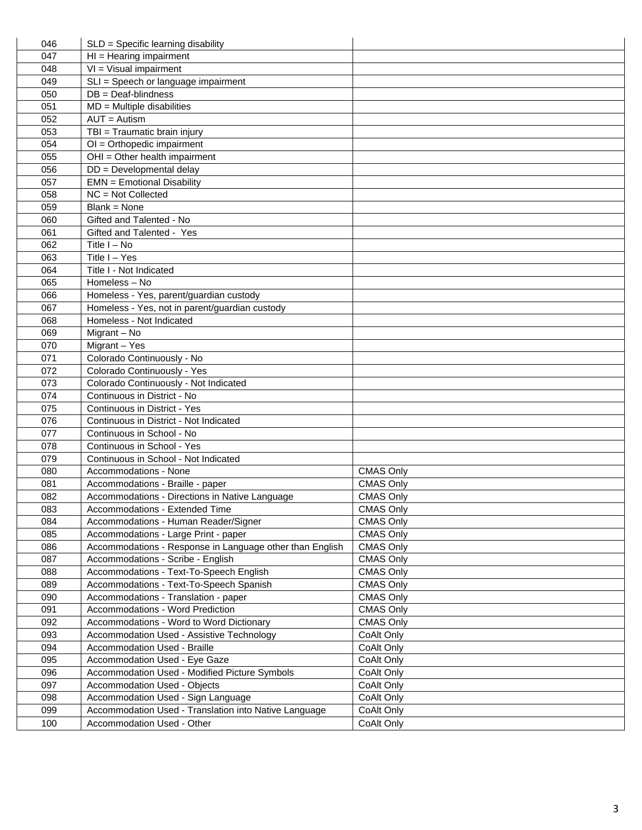| 046 | SLD = Specific learning disability                       |                  |
|-----|----------------------------------------------------------|------------------|
| 047 | $HI = Hearing impairment$                                |                  |
| 048 | $VI = Visual impairment$                                 |                  |
| 049 | SLI = Speech or language impairment                      |                  |
| 050 | $DB = Deaf-blindness$                                    |                  |
| 051 | $MD = Multiple$ disabilities                             |                  |
| 052 | $AUT =$ Autism                                           |                  |
| 053 | TBI = Traumatic brain injury                             |                  |
| 054 | $OI = Orthopedic impairment$                             |                  |
| 055 | OHI = Other health impairment                            |                  |
| 056 | DD = Developmental delay                                 |                  |
| 057 | <b>EMN</b> = Emotional Disability                        |                  |
| 058 | $NC = Not Collected$                                     |                  |
| 059 | $Blank = None$                                           |                  |
| 060 | Gifted and Talented - No                                 |                  |
| 061 | Gifted and Talented - Yes                                |                  |
| 062 | Title $I - No$                                           |                  |
| 063 | Title I - Yes                                            |                  |
| 064 | Title I - Not Indicated                                  |                  |
| 065 | Homeless - No                                            |                  |
| 066 | Homeless - Yes, parent/guardian custody                  |                  |
| 067 | Homeless - Yes, not in parent/guardian custody           |                  |
| 068 | Homeless - Not Indicated                                 |                  |
| 069 | Migrant - No                                             |                  |
| 070 | Migrant - Yes                                            |                  |
| 071 | Colorado Continuously - No                               |                  |
| 072 | Colorado Continuously - Yes                              |                  |
| 073 | Colorado Continuously - Not Indicated                    |                  |
| 074 | Continuous in District - No                              |                  |
| 075 | Continuous in District - Yes                             |                  |
| 076 | Continuous in District - Not Indicated                   |                  |
| 077 | Continuous in School - No                                |                  |
| 078 | Continuous in School - Yes                               |                  |
| 079 | Continuous in School - Not Indicated                     |                  |
| 080 | Accommodations - None                                    | <b>CMAS Only</b> |
| 081 | Accommodations - Braille - paper                         | <b>CMAS Only</b> |
| 082 | Accommodations - Directions in Native Language           | <b>CMAS Only</b> |
| 083 | Accommodations - Extended Time                           | <b>CMAS Only</b> |
| 084 | Accommodations - Human Reader/Signer                     | <b>CMAS Only</b> |
| 085 | Accommodations - Large Print - paper                     | <b>CMAS Only</b> |
| 086 | Accommodations - Response in Language other than English | <b>CMAS Only</b> |
| 087 | Accommodations - Scribe - English                        | <b>CMAS Only</b> |
| 088 | Accommodations - Text-To-Speech English                  | <b>CMAS Only</b> |
| 089 | Accommodations - Text-To-Speech Spanish                  | <b>CMAS Only</b> |
| 090 | Accommodations - Translation - paper                     | <b>CMAS Only</b> |
| 091 | Accommodations - Word Prediction                         | <b>CMAS Only</b> |
| 092 | Accommodations - Word to Word Dictionary                 | <b>CMAS Only</b> |
| 093 | Accommodation Used - Assistive Technology                | CoAlt Only       |
| 094 | Accommodation Used - Braille                             | CoAlt Only       |
| 095 | Accommodation Used - Eye Gaze                            | CoAlt Only       |
| 096 | Accommodation Used - Modified Picture Symbols            | CoAlt Only       |
| 097 | <b>Accommodation Used - Objects</b>                      | CoAlt Only       |
| 098 | Accommodation Used - Sign Language                       | CoAlt Only       |
| 099 | Accommodation Used - Translation into Native Language    | CoAlt Only       |
| 100 | Accommodation Used - Other                               | CoAlt Only       |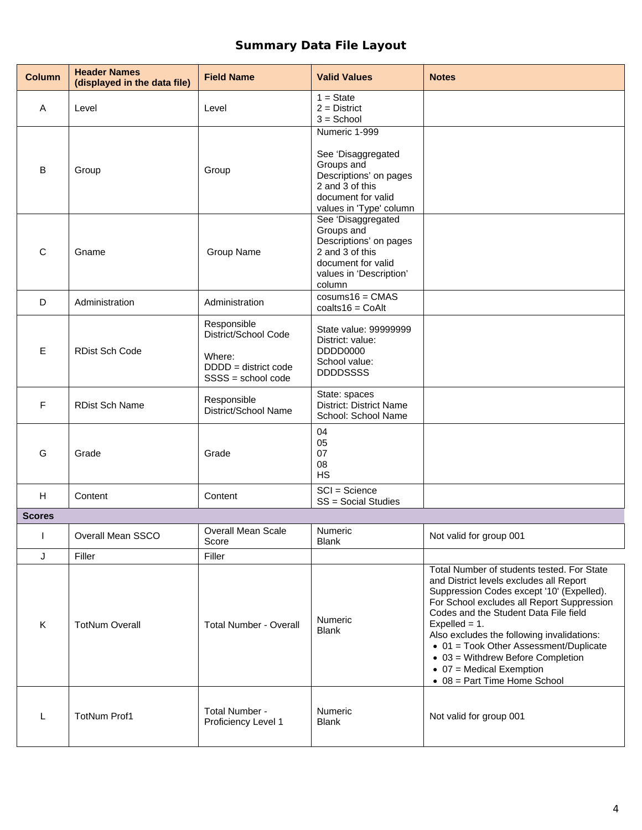# **Summary Data File Layout**

| <b>Column</b> | <b>Header Names</b><br>(displayed in the data file) | <b>Field Name</b>                                                                             | <b>Valid Values</b>                                                                                                                             | <b>Notes</b>                                                                                                                                                                                                                                                                                                                                                                                                                                                   |
|---------------|-----------------------------------------------------|-----------------------------------------------------------------------------------------------|-------------------------------------------------------------------------------------------------------------------------------------------------|----------------------------------------------------------------------------------------------------------------------------------------------------------------------------------------------------------------------------------------------------------------------------------------------------------------------------------------------------------------------------------------------------------------------------------------------------------------|
| A             | Level                                               | Level                                                                                         | $1 = State$<br>$2 =$ District<br>$3 =$ School                                                                                                   |                                                                                                                                                                                                                                                                                                                                                                                                                                                                |
| B             | Group                                               | Group                                                                                         | Numeric 1-999<br>See 'Disaggregated<br>Groups and<br>Descriptions' on pages<br>2 and 3 of this<br>document for valid<br>values in 'Type' column |                                                                                                                                                                                                                                                                                                                                                                                                                                                                |
| $\mathsf{C}$  | Gname                                               | Group Name                                                                                    | See 'Disaggregated<br>Groups and<br>Descriptions' on pages<br>2 and 3 of this<br>document for valid<br>values in 'Description'<br>column        |                                                                                                                                                                                                                                                                                                                                                                                                                                                                |
| D             | Administration                                      | Administration                                                                                | $cosums16 = CMAS$<br>$coalts16 = CoAlt$                                                                                                         |                                                                                                                                                                                                                                                                                                                                                                                                                                                                |
| E             | <b>RDist Sch Code</b>                               | Responsible<br>District/School Code<br>Where:<br>$DDDD =$ district code<br>SSSS = school code | State value: 99999999<br>District: value:<br>DDDD0000<br>School value:<br><b>DDDDSSSS</b>                                                       |                                                                                                                                                                                                                                                                                                                                                                                                                                                                |
| F             | <b>RDist Sch Name</b>                               | Responsible<br>District/School Name                                                           | State: spaces<br><b>District: District Name</b><br>School: School Name                                                                          |                                                                                                                                                                                                                                                                                                                                                                                                                                                                |
| G             | Grade                                               | Grade                                                                                         | 04<br>05<br>07<br>08<br><b>HS</b>                                                                                                               |                                                                                                                                                                                                                                                                                                                                                                                                                                                                |
| H             | Content                                             | Content                                                                                       | SCI = Science<br>SS = Social Studies                                                                                                            |                                                                                                                                                                                                                                                                                                                                                                                                                                                                |
| <b>Scores</b> |                                                     |                                                                                               |                                                                                                                                                 |                                                                                                                                                                                                                                                                                                                                                                                                                                                                |
| $\mathbf{I}$  | Overall Mean SSCO                                   | Overall Mean Scale<br>Score                                                                   | Numeric<br><b>Blank</b>                                                                                                                         | Not valid for group 001                                                                                                                                                                                                                                                                                                                                                                                                                                        |
| J             | Filler                                              | Filler                                                                                        |                                                                                                                                                 |                                                                                                                                                                                                                                                                                                                                                                                                                                                                |
| K             | <b>TotNum Overall</b>                               | <b>Total Number - Overall</b>                                                                 | Numeric<br><b>Blank</b>                                                                                                                         | Total Number of students tested. For State<br>and District levels excludes all Report<br>Suppression Codes except '10' (Expelled).<br>For School excludes all Report Suppression<br>Codes and the Student Data File field<br>Expelled = $1$ .<br>Also excludes the following invalidations:<br>• 01 = Took Other Assessment/Duplicate<br>$\bullet$ 03 = Withdrew Before Completion<br>$\bullet$ 07 = Medical Exemption<br>$\bullet$ 08 = Part Time Home School |
| L             | <b>TotNum Prof1</b>                                 | Total Number -<br>Proficiency Level 1                                                         | Numeric<br><b>Blank</b>                                                                                                                         | Not valid for group 001                                                                                                                                                                                                                                                                                                                                                                                                                                        |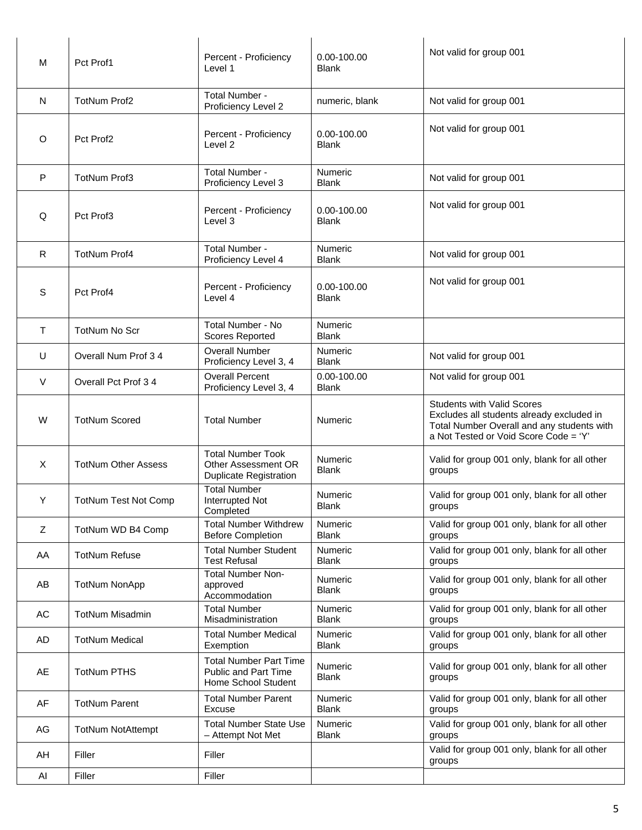| M            | Pct Prof1                   | Percent - Proficiency<br>Level 1                                                 | 0.00-100.00<br><b>Blank</b>     | Not valid for group 001                                                                                                                                               |
|--------------|-----------------------------|----------------------------------------------------------------------------------|---------------------------------|-----------------------------------------------------------------------------------------------------------------------------------------------------------------------|
| N            | <b>TotNum Prof2</b>         | Total Number -<br>Proficiency Level 2                                            | numeric, blank                  | Not valid for group 001                                                                                                                                               |
| O            | Pct Prof2                   | Percent - Proficiency<br>Level <sub>2</sub>                                      | $0.00 - 100.00$<br><b>Blank</b> | Not valid for group 001                                                                                                                                               |
| $\mathsf{P}$ | <b>TotNum Prof3</b>         | Total Number -<br>Proficiency Level 3                                            | Numeric<br><b>Blank</b>         | Not valid for group 001                                                                                                                                               |
| Q            | Pct Prof3                   | Percent - Proficiency<br>Level 3                                                 | 0.00-100.00<br><b>Blank</b>     | Not valid for group 001                                                                                                                                               |
| $\mathsf{R}$ | <b>TotNum Prof4</b>         | Total Number -<br>Proficiency Level 4                                            | Numeric<br><b>Blank</b>         | Not valid for group 001                                                                                                                                               |
| S            | Pct Prof4                   | Percent - Proficiency<br>Level 4                                                 | 0.00-100.00<br><b>Blank</b>     | Not valid for group 001                                                                                                                                               |
| $\mathsf{T}$ | <b>TotNum No Scr</b>        | <b>Total Number - No</b><br><b>Scores Reported</b>                               | Numeric<br><b>Blank</b>         |                                                                                                                                                                       |
| U            | Overall Num Prof 3 4        | <b>Overall Number</b><br>Proficiency Level 3, 4                                  | Numeric<br><b>Blank</b>         | Not valid for group 001                                                                                                                                               |
| $\vee$       | Overall Pct Prof 34         | <b>Overall Percent</b><br>Proficiency Level 3, 4                                 | 0.00-100.00<br><b>Blank</b>     | Not valid for group 001                                                                                                                                               |
| W            | <b>TotNum Scored</b>        | <b>Total Number</b>                                                              | Numeric                         | <b>Students with Valid Scores</b><br>Excludes all students already excluded in<br>Total Number Overall and any students with<br>a Not Tested or Void Score Code = 'Y' |
| X            | <b>TotNum Other Assess</b>  | <b>Total Number Took</b><br>Other Assessment OR<br><b>Duplicate Registration</b> | Numeric<br><b>Blank</b>         | Valid for group 001 only, blank for all other<br>groups                                                                                                               |
| Y            | <b>TotNum Test Not Comp</b> | <b>Total Number</b><br>Interrupted Not<br>Completed                              | <b>Numeric</b><br><b>Blank</b>  | Valid for group 001 only, blank for all other<br>groups                                                                                                               |
| Z            | TotNum WD B4 Comp           | <b>Total Number Withdrew</b><br><b>Before Completion</b>                         | Numeric<br><b>Blank</b>         | Valid for group 001 only, blank for all other<br>groups                                                                                                               |
| AA           | <b>TotNum Refuse</b>        | <b>Total Number Student</b><br><b>Test Refusal</b>                               | <b>Numeric</b><br><b>Blank</b>  | Valid for group 001 only, blank for all other<br>groups                                                                                                               |
| AB           | <b>TotNum NonApp</b>        | <b>Total Number Non-</b><br>approved<br>Accommodation                            | Numeric<br><b>Blank</b>         | Valid for group 001 only, blank for all other<br>groups                                                                                                               |
| AC           | <b>TotNum Misadmin</b>      | <b>Total Number</b><br>Misadministration                                         | Numeric<br><b>Blank</b>         | Valid for group 001 only, blank for all other<br>groups                                                                                                               |
| AD           | <b>TotNum Medical</b>       | <b>Total Number Medical</b><br>Exemption                                         | Numeric<br><b>Blank</b>         | Valid for group 001 only, blank for all other<br>groups                                                                                                               |
| AE           | <b>TotNum PTHS</b>          | <b>Total Number Part Time</b><br>Public and Part Time<br>Home School Student     | Numeric<br><b>Blank</b>         | Valid for group 001 only, blank for all other<br>groups                                                                                                               |
| AF           | <b>TotNum Parent</b>        | <b>Total Number Parent</b><br>Excuse                                             | Numeric<br><b>Blank</b>         | Valid for group 001 only, blank for all other<br>groups                                                                                                               |
| AG           | <b>TotNum NotAttempt</b>    | <b>Total Number State Use</b><br>- Attempt Not Met                               | Numeric<br><b>Blank</b>         | Valid for group 001 only, blank for all other<br>groups                                                                                                               |
|              | Filler                      | Filler                                                                           |                                 | Valid for group 001 only, blank for all other                                                                                                                         |
| AH           |                             |                                                                                  |                                 | groups                                                                                                                                                                |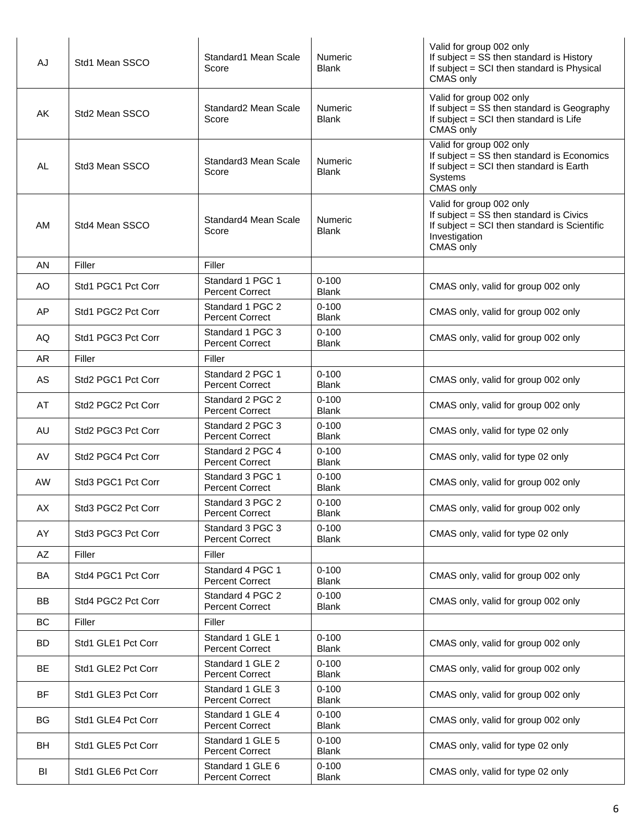| AJ        | Std1 Mean SSCO     | Standard1 Mean Scale<br>Score              | Numeric<br><b>Blank</b>        | Valid for group 002 only<br>If subject = SS then standard is History<br>If subject = SCI then standard is Physical<br>CMAS only                   |
|-----------|--------------------|--------------------------------------------|--------------------------------|---------------------------------------------------------------------------------------------------------------------------------------------------|
| AK        | Std2 Mean SSCO     | Standard2 Mean Scale<br>Score              | Numeric<br><b>Blank</b>        | Valid for group 002 only<br>If subject = SS then standard is Geography<br>If subject = SCI then standard is Life<br>CMAS only                     |
| <b>AL</b> | Std3 Mean SSCO     | Standard3 Mean Scale<br>Score              | Numeric<br>Blank               | Valid for group 002 only<br>If subject = SS then standard is Economics<br>If subject = SCI then standard is Earth<br>Systems<br>CMAS only         |
| AM        | Std4 Mean SSCO     | Standard4 Mean Scale<br>Score              | <b>Numeric</b><br><b>Blank</b> | Valid for group 002 only<br>If subject = SS then standard is Civics<br>If subject = SCI then standard is Scientific<br>Investigation<br>CMAS only |
| AN        | Filler             | Filler                                     |                                |                                                                                                                                                   |
| AO        | Std1 PGC1 Pct Corr | Standard 1 PGC 1<br><b>Percent Correct</b> | $0 - 100$<br><b>Blank</b>      | CMAS only, valid for group 002 only                                                                                                               |
| AP        | Std1 PGC2 Pct Corr | Standard 1 PGC 2<br><b>Percent Correct</b> | $0 - 100$<br><b>Blank</b>      | CMAS only, valid for group 002 only                                                                                                               |
| AQ        | Std1 PGC3 Pct Corr | Standard 1 PGC 3<br><b>Percent Correct</b> | $0 - 100$<br><b>Blank</b>      | CMAS only, valid for group 002 only                                                                                                               |
| <b>AR</b> | Filler             | Filler                                     |                                |                                                                                                                                                   |
| AS        | Std2 PGC1 Pct Corr | Standard 2 PGC 1<br><b>Percent Correct</b> | $0 - 100$<br><b>Blank</b>      | CMAS only, valid for group 002 only                                                                                                               |
| AT        | Std2 PGC2 Pct Corr | Standard 2 PGC 2<br><b>Percent Correct</b> | $0 - 100$<br><b>Blank</b>      | CMAS only, valid for group 002 only                                                                                                               |
| <b>AU</b> | Std2 PGC3 Pct Corr | Standard 2 PGC 3<br><b>Percent Correct</b> | $0 - 100$<br><b>Blank</b>      | CMAS only, valid for type 02 only                                                                                                                 |
| AV        | Std2 PGC4 Pct Corr | Standard 2 PGC 4<br><b>Percent Correct</b> | $0 - 100$<br><b>Blank</b>      | CMAS only, valid for type 02 only                                                                                                                 |
| <b>AW</b> | Std3 PGC1 Pct Corr | Standard 3 PGC 1<br><b>Percent Correct</b> | $0 - 100$<br><b>Blank</b>      | CMAS only, valid for group 002 only                                                                                                               |
| АX        | Std3 PGC2 Pct Corr | Standard 3 PGC 2<br>Percent Correct        | $0 - 100$<br>Blank             | CMAS only, valid for group 002 only                                                                                                               |
| AY        | Std3 PGC3 Pct Corr | Standard 3 PGC 3<br><b>Percent Correct</b> | $0 - 100$<br><b>Blank</b>      | CMAS only, valid for type 02 only                                                                                                                 |
| $A\!Z$    | Filler             | Filler                                     |                                |                                                                                                                                                   |
| BA        | Std4 PGC1 Pct Corr | Standard 4 PGC 1<br><b>Percent Correct</b> | $0 - 100$<br><b>Blank</b>      | CMAS only, valid for group 002 only                                                                                                               |
| BB        | Std4 PGC2 Pct Corr | Standard 4 PGC 2<br><b>Percent Correct</b> | $0 - 100$<br><b>Blank</b>      | CMAS only, valid for group 002 only                                                                                                               |
| BC        | Filler             | Filler                                     |                                |                                                                                                                                                   |
| <b>BD</b> | Std1 GLE1 Pct Corr | Standard 1 GLE 1<br><b>Percent Correct</b> | $0 - 100$<br><b>Blank</b>      | CMAS only, valid for group 002 only                                                                                                               |
| <b>BE</b> | Std1 GLE2 Pct Corr | Standard 1 GLE 2<br><b>Percent Correct</b> | $0 - 100$<br><b>Blank</b>      | CMAS only, valid for group 002 only                                                                                                               |
| <b>BF</b> | Std1 GLE3 Pct Corr | Standard 1 GLE 3<br><b>Percent Correct</b> | $0 - 100$<br>Blank             | CMAS only, valid for group 002 only                                                                                                               |
| <b>BG</b> | Std1 GLE4 Pct Corr | Standard 1 GLE 4<br><b>Percent Correct</b> | $0 - 100$<br>Blank             | CMAS only, valid for group 002 only                                                                                                               |
| BH        | Std1 GLE5 Pct Corr | Standard 1 GLE 5<br><b>Percent Correct</b> | $0 - 100$<br>Blank             | CMAS only, valid for type 02 only                                                                                                                 |
| BI        | Std1 GLE6 Pct Corr | Standard 1 GLE 6<br><b>Percent Correct</b> | $0 - 100$<br><b>Blank</b>      | CMAS only, valid for type 02 only                                                                                                                 |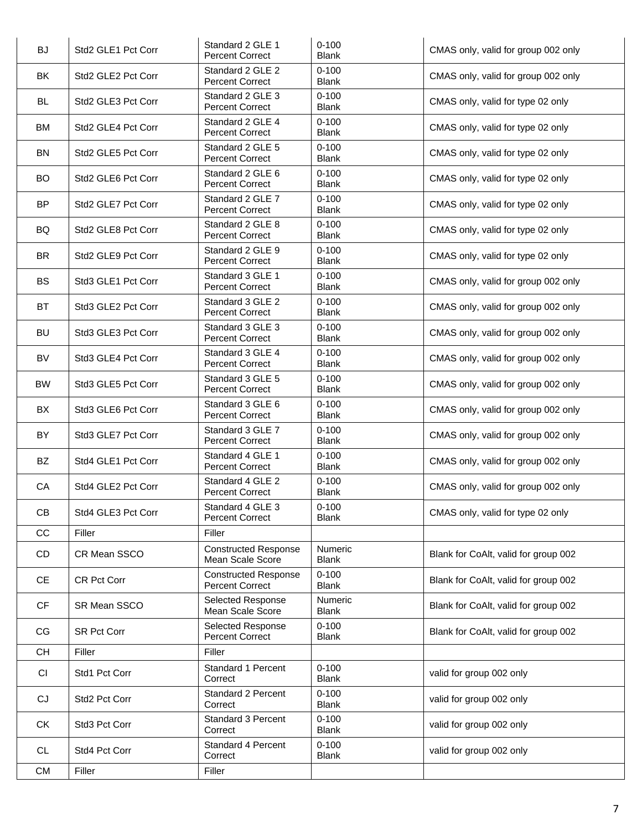| <b>BJ</b> | Std2 GLE1 Pct Corr | Standard 2 GLE 1<br><b>Percent Correct</b>            | $0 - 100$<br><b>Blank</b>      | CMAS only, valid for group 002 only  |
|-----------|--------------------|-------------------------------------------------------|--------------------------------|--------------------------------------|
| <b>BK</b> | Std2 GLE2 Pct Corr | Standard 2 GLE 2<br><b>Percent Correct</b>            | $0 - 100$<br><b>Blank</b>      | CMAS only, valid for group 002 only  |
| BL.       | Std2 GLE3 Pct Corr | Standard 2 GLE 3<br><b>Percent Correct</b>            | $0 - 100$<br><b>Blank</b>      | CMAS only, valid for type 02 only    |
| <b>BM</b> | Std2 GLE4 Pct Corr | Standard 2 GLE 4<br><b>Percent Correct</b>            | $0 - 100$<br><b>Blank</b>      | CMAS only, valid for type 02 only    |
| <b>BN</b> | Std2 GLE5 Pct Corr | Standard 2 GLE 5<br><b>Percent Correct</b>            | $0 - 100$<br><b>Blank</b>      | CMAS only, valid for type 02 only    |
| <b>BO</b> | Std2 GLE6 Pct Corr | Standard 2 GLE 6<br><b>Percent Correct</b>            | $0 - 100$<br><b>Blank</b>      | CMAS only, valid for type 02 only    |
| <b>BP</b> | Std2 GLE7 Pct Corr | Standard 2 GLE 7<br><b>Percent Correct</b>            | $0 - 100$<br><b>Blank</b>      | CMAS only, valid for type 02 only    |
| BQ        | Std2 GLE8 Pct Corr | Standard 2 GLE 8<br><b>Percent Correct</b>            | $0 - 100$<br><b>Blank</b>      | CMAS only, valid for type 02 only    |
| <b>BR</b> | Std2 GLE9 Pct Corr | Standard 2 GLE 9<br><b>Percent Correct</b>            | $0 - 100$<br><b>Blank</b>      | CMAS only, valid for type 02 only    |
| <b>BS</b> | Std3 GLE1 Pct Corr | Standard 3 GLE 1<br><b>Percent Correct</b>            | $0 - 100$<br><b>Blank</b>      | CMAS only, valid for group 002 only  |
| <b>BT</b> | Std3 GLE2 Pct Corr | Standard 3 GLE 2<br><b>Percent Correct</b>            | $0 - 100$<br><b>Blank</b>      | CMAS only, valid for group 002 only  |
| <b>BU</b> | Std3 GLE3 Pct Corr | Standard 3 GLE 3<br><b>Percent Correct</b>            | $0 - 100$<br><b>Blank</b>      | CMAS only, valid for group 002 only  |
| <b>BV</b> | Std3 GLE4 Pct Corr | Standard 3 GLE 4<br><b>Percent Correct</b>            | $0 - 100$<br><b>Blank</b>      | CMAS only, valid for group 002 only  |
| <b>BW</b> | Std3 GLE5 Pct Corr | Standard 3 GLE 5<br><b>Percent Correct</b>            | $0 - 100$<br><b>Blank</b>      | CMAS only, valid for group 002 only  |
| BX        | Std3 GLE6 Pct Corr | Standard 3 GLE 6<br><b>Percent Correct</b>            | $0 - 100$<br><b>Blank</b>      | CMAS only, valid for group 002 only  |
| BY        | Std3 GLE7 Pct Corr | Standard 3 GLE 7<br><b>Percent Correct</b>            | $0 - 100$<br><b>Blank</b>      | CMAS only, valid for group 002 only  |
| BZ        | Std4 GLE1 Pct Corr | Standard 4 GLE 1<br><b>Percent Correct</b>            | $0 - 100$<br><b>Blank</b>      | CMAS only, valid for group 002 only  |
| CA        | Std4 GLE2 Pct Corr | Standard 4 GLE 2<br><b>Percent Correct</b>            | $0 - 100$<br><b>Blank</b>      | CMAS only, valid for group 002 only  |
| CB        | Std4 GLE3 Pct Corr | Standard 4 GLE 3<br><b>Percent Correct</b>            | $0 - 100$<br><b>Blank</b>      | CMAS only, valid for type 02 only    |
| CC        | Filler             | Filler                                                |                                |                                      |
| CD        | CR Mean SSCO       | <b>Constructed Response</b><br>Mean Scale Score       | <b>Numeric</b><br><b>Blank</b> | Blank for CoAlt, valid for group 002 |
| <b>CE</b> | CR Pct Corr        | <b>Constructed Response</b><br><b>Percent Correct</b> | $0 - 100$<br><b>Blank</b>      | Blank for CoAlt, valid for group 002 |
| <b>CF</b> | SR Mean SSCO       | Selected Response<br>Mean Scale Score                 | <b>Numeric</b><br><b>Blank</b> | Blank for CoAlt, valid for group 002 |
| CG        | <b>SR Pct Corr</b> | <b>Selected Response</b><br><b>Percent Correct</b>    | $0 - 100$<br><b>Blank</b>      | Blank for CoAlt, valid for group 002 |
| <b>CH</b> | Filler             | Filler                                                |                                |                                      |
| <b>CI</b> | Std1 Pct Corr      | Standard 1 Percent<br>Correct                         | $0 - 100$<br><b>Blank</b>      | valid for group 002 only             |
| CJ        | Std2 Pct Corr      | Standard 2 Percent<br>Correct                         | $0 - 100$<br><b>Blank</b>      | valid for group 002 only             |
| <b>CK</b> | Std3 Pct Corr      | Standard 3 Percent<br>Correct                         | $0 - 100$<br><b>Blank</b>      | valid for group 002 only             |
| <b>CL</b> | Std4 Pct Corr      | Standard 4 Percent<br>Correct                         | $0 - 100$<br><b>Blank</b>      | valid for group 002 only             |
| <b>CM</b> | Filler             | Filler                                                |                                |                                      |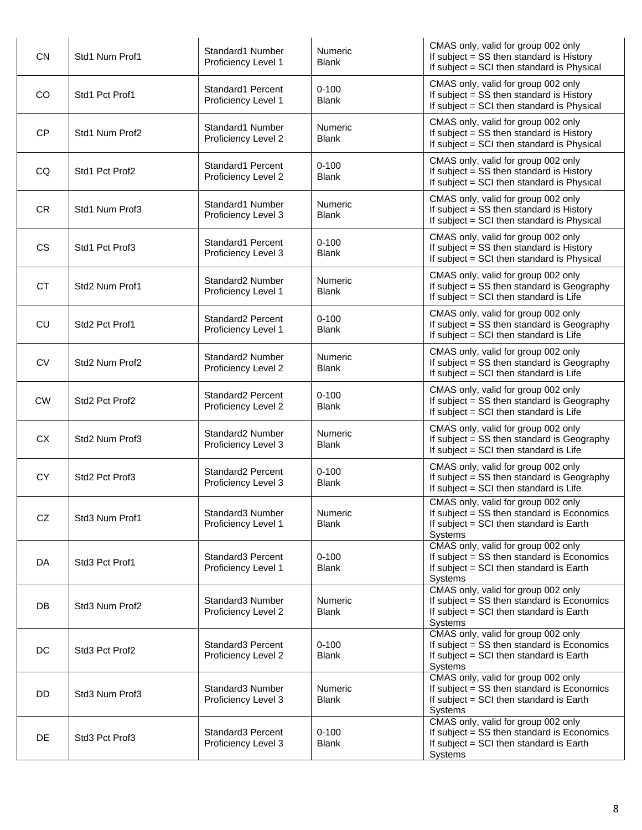| CN        | Std1 Num Prof1                         | Standard1 Number<br>Proficiency Level 1  | <b>Numeric</b><br><b>Blank</b> | CMAS only, valid for group 002 only<br>If subject = SS then standard is History<br>If subject = SCI then standard is Physical           |
|-----------|----------------------------------------|------------------------------------------|--------------------------------|-----------------------------------------------------------------------------------------------------------------------------------------|
| CO        | Std1 Pct Prof1                         | Standard1 Percent<br>Proficiency Level 1 | $0 - 100$<br><b>Blank</b>      | CMAS only, valid for group 002 only<br>If subject = SS then standard is History<br>If subject = SCI then standard is Physical           |
| <b>CP</b> | Std1 Num Prof2                         | Standard1 Number<br>Proficiency Level 2  | <b>Numeric</b><br><b>Blank</b> | CMAS only, valid for group 002 only<br>If subject = SS then standard is History<br>If subject = SCI then standard is Physical           |
| CQ        | Std1 Pct Prof2                         | Standard1 Percent<br>Proficiency Level 2 | $0 - 100$<br><b>Blank</b>      | CMAS only, valid for group 002 only<br>If subject = SS then standard is History<br>If subject = SCI then standard is Physical           |
| <b>CR</b> | Std1 Num Prof3                         | Standard1 Number<br>Proficiency Level 3  | <b>Numeric</b><br><b>Blank</b> | CMAS only, valid for group 002 only<br>If subject = SS then standard is History<br>If subject = SCI then standard is Physical           |
| <b>CS</b> | Std1 Pct Prof3                         | Standard1 Percent<br>Proficiency Level 3 | $0 - 100$<br><b>Blank</b>      | CMAS only, valid for group 002 only<br>If subject = SS then standard is History<br>If subject = SCI then standard is Physical           |
| <b>CT</b> | Std2 Num Prof1                         | Standard2 Number<br>Proficiency Level 1  | <b>Numeric</b><br><b>Blank</b> | CMAS only, valid for group 002 only<br>If subject = SS then standard is Geography<br>If subject = SCI then standard is Life             |
| <b>CU</b> | Std2 Pct Prof1                         | Standard2 Percent<br>Proficiency Level 1 | $0 - 100$<br><b>Blank</b>      | CMAS only, valid for group 002 only<br>If subject = SS then standard is Geography<br>If subject = SCI then standard is Life             |
| <b>CV</b> | Std2 Num Prof2                         | Standard2 Number<br>Proficiency Level 2  | <b>Numeric</b><br><b>Blank</b> | CMAS only, valid for group 002 only<br>If subject = SS then standard is Geography<br>If subject = SCI then standard is Life             |
| <b>CW</b> | Std2 Pct Prof2                         | Standard2 Percent<br>Proficiency Level 2 | $0 - 100$<br><b>Blank</b>      | CMAS only, valid for group 002 only<br>If subject = SS then standard is Geography<br>If subject = SCI then standard is Life             |
| <b>CX</b> | Std2 Num Prof3                         | Standard2 Number<br>Proficiency Level 3  | <b>Numeric</b><br><b>Blank</b> | CMAS only, valid for group 002 only<br>If subject = SS then standard is Geography<br>If subject = SCI then standard is Life             |
| <b>CY</b> | Std2 Pct Prof3                         | Standard2 Percent<br>Proficiency Level 3 | $0 - 100$<br><b>Blank</b>      | CMAS only, valid for group 002 only<br>If subject = SS then standard is Geography<br>If subject = SCI then standard is Life             |
| CZ        | Std3 Num Prof1                         | Standard3 Number<br>Proficiency Level 1  | <b>Numeric</b><br><b>Blank</b> | CMAS only, valid for group 002 only<br>If subject = SS then standard is Economics<br>If subject = SCI then standard is Earth<br>Systems |
| DA        | Std <sub>3</sub> Pct Prof1             | Standard3 Percent<br>Proficiency Level 1 | $0 - 100$<br><b>Blank</b>      | CMAS only, valid for group 002 only<br>If subject = SS then standard is Economics<br>If subject = SCI then standard is Earth<br>Systems |
| <b>DB</b> | Std3 Num Prof2                         | Standard3 Number<br>Proficiency Level 2  | <b>Numeric</b><br><b>Blank</b> | CMAS only, valid for group 002 only<br>If subject = SS then standard is Economics<br>If subject = SCI then standard is Earth<br>Systems |
| DC        | Std <sub>3</sub> Pct Prof <sub>2</sub> | Standard3 Percent<br>Proficiency Level 2 | $0 - 100$<br><b>Blank</b>      | CMAS only, valid for group 002 only<br>If subject = SS then standard is Economics<br>If subject = SCI then standard is Earth<br>Systems |
| DD        | Std3 Num Prof3                         | Standard3 Number<br>Proficiency Level 3  | Numeric<br><b>Blank</b>        | CMAS only, valid for group 002 only<br>If subject = SS then standard is Economics<br>If subject = SCI then standard is Earth<br>Systems |
| <b>DE</b> | Std3 Pct Prof3                         | Standard3 Percent<br>Proficiency Level 3 | $0 - 100$<br><b>Blank</b>      | CMAS only, valid for group 002 only<br>If subject = SS then standard is Economics<br>If subject = SCI then standard is Earth<br>Systems |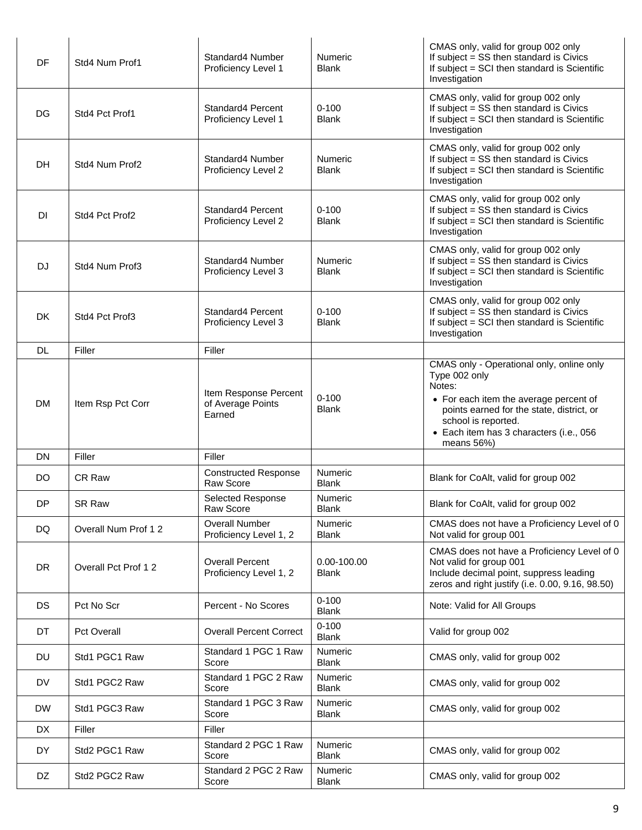| DF        | Std4 Num Prof1      | Standard4 Number<br>Proficiency Level 1              | <b>Numeric</b><br><b>Blank</b> | CMAS only, valid for group 002 only<br>If subject = SS then standard is Civics<br>If subject = SCI then standard is Scientific<br>Investigation                                                                                             |
|-----------|---------------------|------------------------------------------------------|--------------------------------|---------------------------------------------------------------------------------------------------------------------------------------------------------------------------------------------------------------------------------------------|
| DG        | Std4 Pct Prof1      | Standard4 Percent<br>Proficiency Level 1             | $0 - 100$<br><b>Blank</b>      | CMAS only, valid for group 002 only<br>If subject = SS then standard is Civics<br>If subject = SCI then standard is Scientific<br>Investigation                                                                                             |
| DH        | Std4 Num Prof2      | Standard4 Number<br>Proficiency Level 2              | <b>Numeric</b><br><b>Blank</b> | CMAS only, valid for group 002 only<br>If subject = SS then standard is Civics<br>If subject = SCI then standard is Scientific<br>Investigation                                                                                             |
| <b>DI</b> | Std4 Pct Prof2      | Standard4 Percent<br>Proficiency Level 2             | $0 - 100$<br><b>Blank</b>      | CMAS only, valid for group 002 only<br>If subject = SS then standard is Civics<br>If subject = SCI then standard is Scientific<br>Investigation                                                                                             |
| <b>DJ</b> | Std4 Num Prof3      | Standard4 Number<br>Proficiency Level 3              | <b>Numeric</b><br><b>Blank</b> | CMAS only, valid for group 002 only<br>If subject = SS then standard is Civics<br>If subject = SCI then standard is Scientific<br>Investigation                                                                                             |
| DK        | Std4 Pct Prof3      | Standard4 Percent<br>Proficiency Level 3             | $0 - 100$<br><b>Blank</b>      | CMAS only, valid for group 002 only<br>If subject = SS then standard is Civics<br>If subject = SCI then standard is Scientific<br>Investigation                                                                                             |
| <b>DL</b> | Filler              | Filler                                               |                                |                                                                                                                                                                                                                                             |
| <b>DM</b> | Item Rsp Pct Corr   | Item Response Percent<br>of Average Points<br>Earned | $0 - 100$<br><b>Blank</b>      | CMAS only - Operational only, online only<br>Type 002 only<br>Notes:<br>• For each item the average percent of<br>points earned for the state, district, or<br>school is reported.<br>• Each item has 3 characters (i.e., 056<br>means 56%) |
| <b>DN</b> | Filler              | Filler                                               |                                |                                                                                                                                                                                                                                             |
| DO.       | CR Raw              | <b>Constructed Response</b><br>Raw Score             | <b>Numeric</b><br><b>Blank</b> | Blank for CoAlt, valid for group 002                                                                                                                                                                                                        |
| DP        | SR Raw              | Selected Response<br>Raw Score                       | Numeric<br><b>Blank</b>        | Blank for CoAlt, valid for group 002                                                                                                                                                                                                        |
| DQ        | Overall Num Prof 12 | <b>Overall Number</b><br>Proficiency Level 1, 2      | <b>Numeric</b><br><b>Blank</b> | CMAS does not have a Proficiency Level of 0<br>Not valid for group 001                                                                                                                                                                      |
| <b>DR</b> | Overall Pct Prof 12 | <b>Overall Percent</b><br>Proficiency Level 1, 2     | 0.00-100.00<br><b>Blank</b>    | CMAS does not have a Proficiency Level of 0<br>Not valid for group 001<br>Include decimal point, suppress leading<br>zeros and right justify (i.e. 0.00, 9.16, 98.50)                                                                       |
| <b>DS</b> | Pct No Scr          | Percent - No Scores                                  | $0 - 100$<br><b>Blank</b>      | Note: Valid for All Groups                                                                                                                                                                                                                  |
| DT        | <b>Pct Overall</b>  | <b>Overall Percent Correct</b>                       | $0 - 100$<br><b>Blank</b>      | Valid for group 002                                                                                                                                                                                                                         |
| DU        | Std1 PGC1 Raw       | Standard 1 PGC 1 Raw<br>Score                        | Numeric<br><b>Blank</b>        | CMAS only, valid for group 002                                                                                                                                                                                                              |
| <b>DV</b> | Std1 PGC2 Raw       | Standard 1 PGC 2 Raw<br>Score                        | <b>Numeric</b><br><b>Blank</b> | CMAS only, valid for group 002                                                                                                                                                                                                              |
| <b>DW</b> | Std1 PGC3 Raw       | Standard 1 PGC 3 Raw<br>Score                        | <b>Numeric</b><br><b>Blank</b> | CMAS only, valid for group 002                                                                                                                                                                                                              |
| DX        | Filler              | Filler                                               |                                |                                                                                                                                                                                                                                             |
| DY        | Std2 PGC1 Raw       | Standard 2 PGC 1 Raw<br>Score                        | Numeric<br><b>Blank</b>        | CMAS only, valid for group 002                                                                                                                                                                                                              |
| DZ        | Std2 PGC2 Raw       | Standard 2 PGC 2 Raw<br>Score                        | Numeric<br><b>Blank</b>        | CMAS only, valid for group 002                                                                                                                                                                                                              |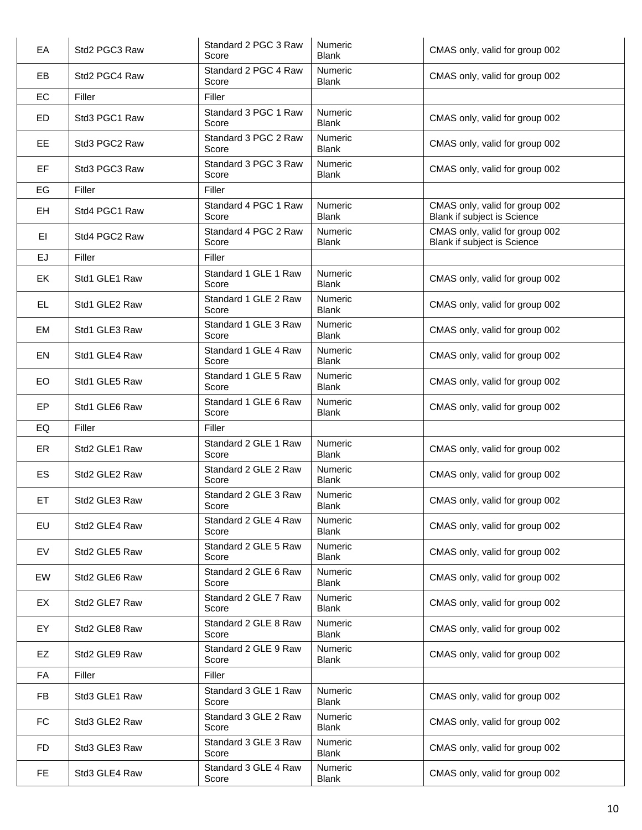| EA        | Std2 PGC3 Raw | Standard 2 PGC 3 Raw<br>Score | <b>Numeric</b><br><b>Blank</b> | CMAS only, valid for group 002                                |
|-----------|---------------|-------------------------------|--------------------------------|---------------------------------------------------------------|
| EB        | Std2 PGC4 Raw | Standard 2 PGC 4 Raw<br>Score | <b>Numeric</b><br><b>Blank</b> | CMAS only, valid for group 002                                |
| EC        | Filler        | Filler                        |                                |                                                               |
| <b>ED</b> | Std3 PGC1 Raw | Standard 3 PGC 1 Raw<br>Score | Numeric<br><b>Blank</b>        | CMAS only, valid for group 002                                |
| EE        | Std3 PGC2 Raw | Standard 3 PGC 2 Raw<br>Score | Numeric<br><b>Blank</b>        | CMAS only, valid for group 002                                |
| EF        | Std3 PGC3 Raw | Standard 3 PGC 3 Raw<br>Score | <b>Numeric</b><br><b>Blank</b> | CMAS only, valid for group 002                                |
| EG        | Filler        | Filler                        |                                |                                                               |
| EH        | Std4 PGC1 Raw | Standard 4 PGC 1 Raw<br>Score | Numeric<br><b>Blank</b>        | CMAS only, valid for group 002<br>Blank if subject is Science |
| EI        | Std4 PGC2 Raw | Standard 4 PGC 2 Raw<br>Score | Numeric<br><b>Blank</b>        | CMAS only, valid for group 002<br>Blank if subject is Science |
| EJ        | Filler        | Filler                        |                                |                                                               |
| EK        | Std1 GLE1 Raw | Standard 1 GLE 1 Raw<br>Score | Numeric<br><b>Blank</b>        | CMAS only, valid for group 002                                |
| EL        | Std1 GLE2 Raw | Standard 1 GLE 2 Raw<br>Score | Numeric<br><b>Blank</b>        | CMAS only, valid for group 002                                |
| EM        | Std1 GLE3 Raw | Standard 1 GLE 3 Raw<br>Score | Numeric<br><b>Blank</b>        | CMAS only, valid for group 002                                |
| EN        | Std1 GLE4 Raw | Standard 1 GLE 4 Raw<br>Score | Numeric<br><b>Blank</b>        | CMAS only, valid for group 002                                |
| <b>EO</b> | Std1 GLE5 Raw | Standard 1 GLE 5 Raw<br>Score | Numeric<br><b>Blank</b>        | CMAS only, valid for group 002                                |
| EP        | Std1 GLE6 Raw | Standard 1 GLE 6 Raw<br>Score | Numeric<br><b>Blank</b>        | CMAS only, valid for group 002                                |
| EQ        | Filler        | Filler                        |                                |                                                               |
| ER        | Std2 GLE1 Raw | Standard 2 GLE 1 Raw<br>Score | Numeric<br><b>Blank</b>        | CMAS only, valid for group 002                                |
| ES        | Std2 GLE2 Raw | Standard 2 GLE 2 Raw<br>Score | Numeric<br><b>Blank</b>        | CMAS only, valid for group 002                                |
| EТ        | Std2 GLE3 Raw | Standard 2 GLE 3 Raw<br>Score | Numeric<br><b>Blank</b>        | CMAS only, valid for group 002                                |
| EU        | Std2 GLE4 Raw | Standard 2 GLE 4 Raw<br>Score | Numeric<br><b>Blank</b>        | CMAS only, valid for group 002                                |
| EV        | Std2 GLE5 Raw | Standard 2 GLE 5 Raw<br>Score | Numeric<br><b>Blank</b>        | CMAS only, valid for group 002                                |
| EW        | Std2 GLE6 Raw | Standard 2 GLE 6 Raw<br>Score | Numeric<br>Blank               | CMAS only, valid for group 002                                |
| EX        | Std2 GLE7 Raw | Standard 2 GLE 7 Raw<br>Score | Numeric<br>Blank               | CMAS only, valid for group 002                                |
| EY        | Std2 GLE8 Raw | Standard 2 GLE 8 Raw<br>Score | Numeric<br><b>Blank</b>        | CMAS only, valid for group 002                                |
| EZ        | Std2 GLE9 Raw | Standard 2 GLE 9 Raw<br>Score | Numeric<br><b>Blank</b>        | CMAS only, valid for group 002                                |
| FA        | Filler        | Filler                        |                                |                                                               |
| <b>FB</b> | Std3 GLE1 Raw | Standard 3 GLE 1 Raw<br>Score | Numeric<br><b>Blank</b>        | CMAS only, valid for group 002                                |
| FC        | Std3 GLE2 Raw | Standard 3 GLE 2 Raw<br>Score | Numeric<br>Blank               | CMAS only, valid for group 002                                |
| <b>FD</b> | Std3 GLE3 Raw | Standard 3 GLE 3 Raw<br>Score | Numeric<br><b>Blank</b>        | CMAS only, valid for group 002                                |
| <b>FE</b> | Std3 GLE4 Raw | Standard 3 GLE 4 Raw<br>Score | Numeric<br><b>Blank</b>        | CMAS only, valid for group 002                                |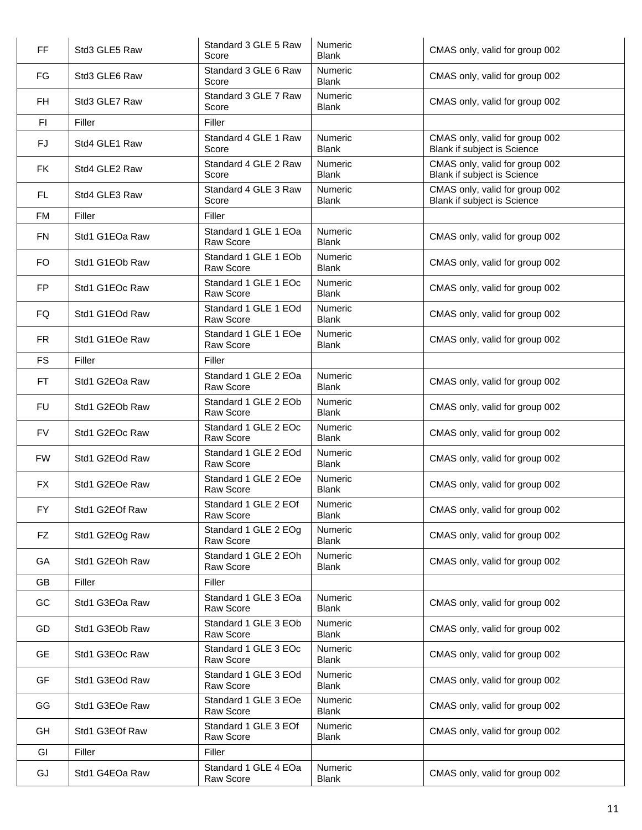| FF             | Std3 GLE5 Raw  | Standard 3 GLE 5 Raw<br>Score     | Numeric<br><b>Blank</b>        | CMAS only, valid for group 002                                |
|----------------|----------------|-----------------------------------|--------------------------------|---------------------------------------------------------------|
| FG             | Std3 GLE6 Raw  | Standard 3 GLE 6 Raw<br>Score     | Numeric<br><b>Blank</b>        | CMAS only, valid for group 002                                |
| <b>FH</b>      | Std3 GLE7 Raw  | Standard 3 GLE 7 Raw<br>Score     | Numeric<br><b>Blank</b>        | CMAS only, valid for group 002                                |
| F <sub>1</sub> | Filler         | Filler                            |                                |                                                               |
| <b>FJ</b>      | Std4 GLE1 Raw  | Standard 4 GLE 1 Raw<br>Score     | Numeric<br><b>Blank</b>        | CMAS only, valid for group 002<br>Blank if subject is Science |
| <b>FK</b>      | Std4 GLE2 Raw  | Standard 4 GLE 2 Raw<br>Score     | Numeric<br><b>Blank</b>        | CMAS only, valid for group 002<br>Blank if subject is Science |
| <b>FL</b>      | Std4 GLE3 Raw  | Standard 4 GLE 3 Raw<br>Score     | Numeric<br><b>Blank</b>        | CMAS only, valid for group 002<br>Blank if subject is Science |
| <b>FM</b>      | Filler         | Filler                            |                                |                                                               |
| <b>FN</b>      | Std1 G1EOa Raw | Standard 1 GLE 1 EOa<br>Raw Score | Numeric<br><b>Blank</b>        | CMAS only, valid for group 002                                |
| <b>FO</b>      | Std1 G1EOb Raw | Standard 1 GLE 1 EOb<br>Raw Score | Numeric<br><b>Blank</b>        | CMAS only, valid for group 002                                |
| <b>FP</b>      | Std1 G1EOc Raw | Standard 1 GLE 1 EOc<br>Raw Score | Numeric<br><b>Blank</b>        | CMAS only, valid for group 002                                |
| FQ             | Std1 G1EOd Raw | Standard 1 GLE 1 EOd<br>Raw Score | Numeric<br><b>Blank</b>        | CMAS only, valid for group 002                                |
| <b>FR</b>      | Std1 G1EOe Raw | Standard 1 GLE 1 EOe<br>Raw Score | Numeric<br><b>Blank</b>        | CMAS only, valid for group 002                                |
| <b>FS</b>      | Filler         | Filler                            |                                |                                                               |
| <b>FT</b>      | Std1 G2EOa Raw | Standard 1 GLE 2 EOa<br>Raw Score | Numeric<br><b>Blank</b>        | CMAS only, valid for group 002                                |
| <b>FU</b>      | Std1 G2EOb Raw | Standard 1 GLE 2 EOb<br>Raw Score | Numeric<br><b>Blank</b>        | CMAS only, valid for group 002                                |
| <b>FV</b>      | Std1 G2EOc Raw | Standard 1 GLE 2 EOc<br>Raw Score | Numeric<br><b>Blank</b>        | CMAS only, valid for group 002                                |
| <b>FW</b>      | Std1 G2EOd Raw | Standard 1 GLE 2 EOd<br>Raw Score | Numeric<br><b>Blank</b>        | CMAS only, valid for group 002                                |
| <b>FX</b>      | Std1 G2EOe Raw | Standard 1 GLE 2 EOe<br>Raw Score | Numeric<br><b>Blank</b>        | CMAS only, valid for group 002                                |
| <b>FY</b>      | Std1 G2EOf Raw | Standard 1 GLE 2 EOf<br>Raw Score | Numeric<br><b>Blank</b>        | CMAS only, valid for group 002                                |
| FZ             | Std1 G2EOg Raw | Standard 1 GLE 2 EOg<br>Raw Score | <b>Numeric</b><br><b>Blank</b> | CMAS only, valid for group 002                                |
| GA             | Std1 G2EOh Raw | Standard 1 GLE 2 EOh<br>Raw Score | Numeric<br><b>Blank</b>        | CMAS only, valid for group 002                                |
| GB             | Filler         | Filler                            |                                |                                                               |
| GC             | Std1 G3EOa Raw | Standard 1 GLE 3 EOa<br>Raw Score | <b>Numeric</b><br><b>Blank</b> | CMAS only, valid for group 002                                |
| GD             | Std1 G3EOb Raw | Standard 1 GLE 3 EOb<br>Raw Score | Numeric<br><b>Blank</b>        | CMAS only, valid for group 002                                |
| <b>GE</b>      | Std1 G3EOc Raw | Standard 1 GLE 3 EOc<br>Raw Score | Numeric<br><b>Blank</b>        | CMAS only, valid for group 002                                |
| <b>GF</b>      | Std1 G3EOd Raw | Standard 1 GLE 3 EOd<br>Raw Score | Numeric<br><b>Blank</b>        | CMAS only, valid for group 002                                |
| GG             | Std1 G3EOe Raw | Standard 1 GLE 3 EOe<br>Raw Score | Numeric<br><b>Blank</b>        | CMAS only, valid for group 002                                |
| GH             | Std1 G3EOf Raw | Standard 1 GLE 3 EOf<br>Raw Score | Numeric<br><b>Blank</b>        | CMAS only, valid for group 002                                |
| GI             | Filler         | Filler                            |                                |                                                               |
| GJ             | Std1 G4EOa Raw | Standard 1 GLE 4 EOa<br>Raw Score | Numeric<br><b>Blank</b>        | CMAS only, valid for group 002                                |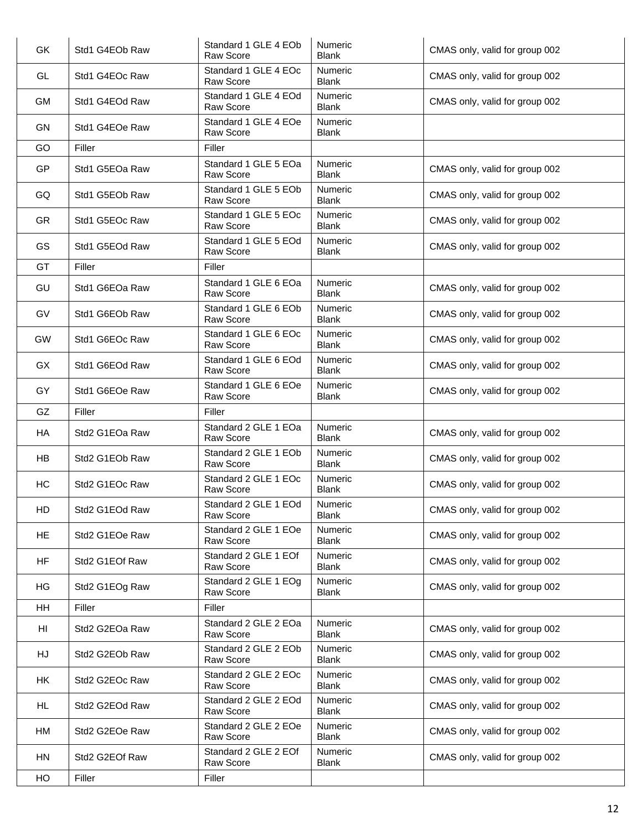| GK             | Std1 G4EOb Raw | Standard 1 GLE 4 EOb<br>Raw Score        | Numeric<br><b>Blank</b>        | CMAS only, valid for group 002 |
|----------------|----------------|------------------------------------------|--------------------------------|--------------------------------|
| <b>GL</b>      | Std1 G4EOc Raw | Standard 1 GLE 4 EOc<br>Raw Score        | Numeric<br><b>Blank</b>        | CMAS only, valid for group 002 |
| GM             | Std1 G4EOd Raw | Standard 1 GLE 4 EOd<br>Raw Score        | Numeric<br><b>Blank</b>        | CMAS only, valid for group 002 |
| GN             | Std1 G4EOe Raw | Standard 1 GLE 4 EOe<br><b>Raw Score</b> | Numeric<br><b>Blank</b>        |                                |
| GO             | Filler         | Filler                                   |                                |                                |
| GP             | Std1 G5EOa Raw | Standard 1 GLE 5 EOa<br>Raw Score        | Numeric<br><b>Blank</b>        | CMAS only, valid for group 002 |
| GQ             | Std1 G5EOb Raw | Standard 1 GLE 5 EOb<br>Raw Score        | <b>Numeric</b><br><b>Blank</b> | CMAS only, valid for group 002 |
| <b>GR</b>      | Std1 G5EOc Raw | Standard 1 GLE 5 EOc<br>Raw Score        | Numeric<br><b>Blank</b>        | CMAS only, valid for group 002 |
| GS             | Std1 G5EOd Raw | Standard 1 GLE 5 EOd<br>Raw Score        | <b>Numeric</b><br><b>Blank</b> | CMAS only, valid for group 002 |
| GT             | Filler         | Filler                                   |                                |                                |
| GU             | Std1 G6EOa Raw | Standard 1 GLE 6 EOa<br>Raw Score        | Numeric<br><b>Blank</b>        | CMAS only, valid for group 002 |
| GV             | Std1 G6EOb Raw | Standard 1 GLE 6 EOb<br>Raw Score        | Numeric<br><b>Blank</b>        | CMAS only, valid for group 002 |
| GW             | Std1 G6EOc Raw | Standard 1 GLE 6 EOc<br>Raw Score        | Numeric<br><b>Blank</b>        | CMAS only, valid for group 002 |
| GX             | Std1 G6EOd Raw | Standard 1 GLE 6 EOd<br>Raw Score        | Numeric<br><b>Blank</b>        | CMAS only, valid for group 002 |
| GY             | Std1 G6EOe Raw | Standard 1 GLE 6 EOe<br>Raw Score        | Numeric<br><b>Blank</b>        | CMAS only, valid for group 002 |
| GZ             | Filler         | Filler                                   |                                |                                |
| HA             | Std2 G1EOa Raw | Standard 2 GLE 1 EOa<br>Raw Score        | Numeric<br><b>Blank</b>        | CMAS only, valid for group 002 |
| HB             | Std2 G1EOb Raw | Standard 2 GLE 1 EOb<br>Raw Score        | Numeric<br><b>Blank</b>        | CMAS only, valid for group 002 |
| HC             | Std2 G1EOc Raw | Standard 2 GLE 1 EOc<br>Raw Score        | Numeric<br><b>Blank</b>        | CMAS only, valid for group 002 |
| HD             | Std2 G1EOd Raw | Standard 2 GLE 1 EOd<br>Raw Score        | Numeric<br><b>Blank</b>        | CMAS only, valid for group 002 |
| <b>HE</b>      | Std2 G1EOe Raw | Standard 2 GLE 1 EOe<br>Raw Score        | <b>Numeric</b><br><b>Blank</b> | CMAS only, valid for group 002 |
| HF             | Std2 G1EOf Raw | Standard 2 GLE 1 EOf<br>Raw Score        | Numeric<br><b>Blank</b>        | CMAS only, valid for group 002 |
| HG             | Std2 G1EOg Raw | Standard 2 GLE 1 EOg<br>Raw Score        | Numeric<br><b>Blank</b>        | CMAS only, valid for group 002 |
| <b>HH</b>      | Filler         | Filler                                   |                                |                                |
| H <sub>l</sub> | Std2 G2EOa Raw | Standard 2 GLE 2 EOa<br>Raw Score        | Numeric<br><b>Blank</b>        | CMAS only, valid for group 002 |
| HJ             | Std2 G2EOb Raw | Standard 2 GLE 2 EOb<br>Raw Score        | Numeric<br><b>Blank</b>        | CMAS only, valid for group 002 |
| <b>HK</b>      | Std2 G2EOc Raw | Standard 2 GLE 2 EOc<br>Raw Score        | Numeric<br><b>Blank</b>        | CMAS only, valid for group 002 |
| <b>HL</b>      | Std2 G2EOd Raw | Standard 2 GLE 2 EOd<br>Raw Score        | <b>Numeric</b><br><b>Blank</b> | CMAS only, valid for group 002 |
| HM             | Std2 G2EOe Raw | Standard 2 GLE 2 EOe<br>Raw Score        | <b>Numeric</b><br><b>Blank</b> | CMAS only, valid for group 002 |
| HN             | Std2 G2EOf Raw | Standard 2 GLE 2 EOf<br>Raw Score        | Numeric<br><b>Blank</b>        | CMAS only, valid for group 002 |
| HO             | Filler         | Filler                                   |                                |                                |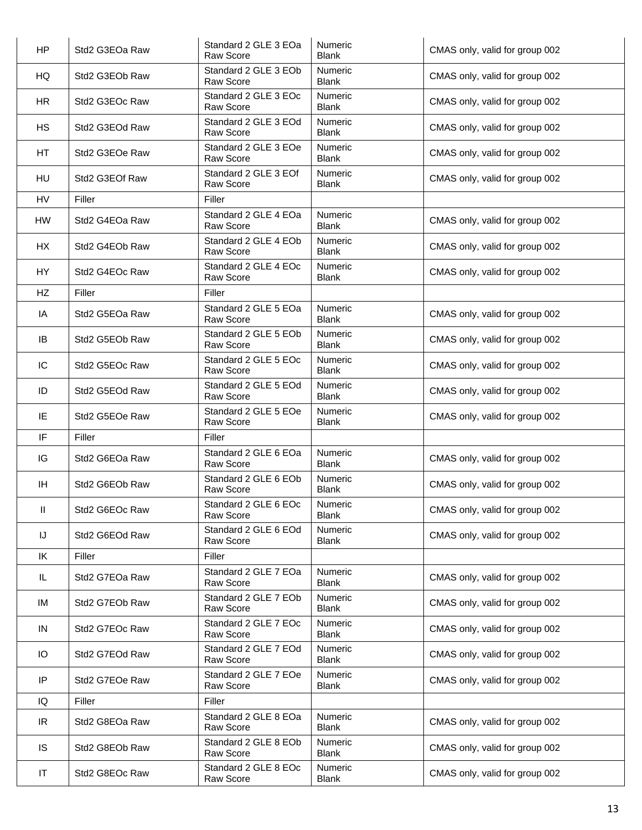| <b>HP</b>              | Std2 G3EOa Raw | Standard 2 GLE 3 EOa<br><b>Raw Score</b> | Numeric<br><b>Blank</b> | CMAS only, valid for group 002 |
|------------------------|----------------|------------------------------------------|-------------------------|--------------------------------|
| HQ                     | Std2 G3EOb Raw | Standard 2 GLE 3 EOb<br><b>Raw Score</b> | Numeric<br><b>Blank</b> | CMAS only, valid for group 002 |
| <b>HR</b>              | Std2 G3EOc Raw | Standard 2 GLE 3 EOc<br>Raw Score        | Numeric<br><b>Blank</b> | CMAS only, valid for group 002 |
| HS                     | Std2 G3EOd Raw | Standard 2 GLE 3 EOd<br>Raw Score        | Numeric<br><b>Blank</b> | CMAS only, valid for group 002 |
| HT                     | Std2 G3EOe Raw | Standard 2 GLE 3 EOe<br><b>Raw Score</b> | Numeric<br><b>Blank</b> | CMAS only, valid for group 002 |
| HU                     | Std2 G3EOf Raw | Standard 2 GLE 3 EOf<br><b>Raw Score</b> | Numeric<br><b>Blank</b> | CMAS only, valid for group 002 |
| <b>HV</b>              | Filler         | Filler                                   |                         |                                |
| HW                     | Std2 G4EOa Raw | Standard 2 GLE 4 EOa<br><b>Raw Score</b> | Numeric<br><b>Blank</b> | CMAS only, valid for group 002 |
| HX                     | Std2 G4EOb Raw | Standard 2 GLE 4 EOb<br>Raw Score        | Numeric<br><b>Blank</b> | CMAS only, valid for group 002 |
| <b>HY</b>              | Std2 G4EOc Raw | Standard 2 GLE 4 EOc<br>Raw Score        | Numeric<br><b>Blank</b> | CMAS only, valid for group 002 |
| HZ                     | Filler         | Filler                                   |                         |                                |
| IA                     | Std2 G5EOa Raw | Standard 2 GLE 5 EOa<br><b>Raw Score</b> | Numeric<br><b>Blank</b> | CMAS only, valid for group 002 |
| IB                     | Std2 G5EOb Raw | Standard 2 GLE 5 EOb<br><b>Raw Score</b> | Numeric<br><b>Blank</b> | CMAS only, valid for group 002 |
| IC                     | Std2 G5EOc Raw | Standard 2 GLE 5 EOc<br><b>Raw Score</b> | Numeric<br><b>Blank</b> | CMAS only, valid for group 002 |
| ID                     | Std2 G5EOd Raw | Standard 2 GLE 5 EOd<br><b>Raw Score</b> | Numeric<br><b>Blank</b> | CMAS only, valid for group 002 |
| IE                     | Std2 G5EOe Raw | Standard 2 GLE 5 EOe<br>Raw Score        | Numeric<br><b>Blank</b> | CMAS only, valid for group 002 |
| IF                     | Filler         | Filler                                   |                         |                                |
| IG                     | Std2 G6EOa Raw | Standard 2 GLE 6 EOa<br>Raw Score        | Numeric<br><b>Blank</b> | CMAS only, valid for group 002 |
| <b>IH</b>              | Std2 G6EOb Raw | Standard 2 GLE 6 EOb<br>Raw Score        | Numeric<br><b>Blank</b> | CMAS only, valid for group 002 |
| $\mathbf{II}$          | Std2 G6EOc Raw | Standard 2 GLE 6 EOc<br>Raw Score        | Numeric<br><b>Blank</b> | CMAS only, valid for group 002 |
| IJ                     | Std2 G6EOd Raw | Standard 2 GLE 6 EOd<br>Raw Score        | Numeric<br><b>Blank</b> | CMAS only, valid for group 002 |
| IK                     | Filler         | Filler                                   |                         |                                |
| IL.                    | Std2 G7EOa Raw | Standard 2 GLE 7 EOa<br>Raw Score        | Numeric<br><b>Blank</b> | CMAS only, valid for group 002 |
| IM                     | Std2 G7EOb Raw | Standard 2 GLE 7 EOb<br>Raw Score        | Numeric<br><b>Blank</b> | CMAS only, valid for group 002 |
| IN                     | Std2 G7EOc Raw | Standard 2 GLE 7 EOc<br>Raw Score        | Numeric<br><b>Blank</b> | CMAS only, valid for group 002 |
| IO                     | Std2 G7EOd Raw | Standard 2 GLE 7 EOd<br>Raw Score        | Numeric<br><b>Blank</b> | CMAS only, valid for group 002 |
| IP                     | Std2 G7EOe Raw | Standard 2 GLE 7 EOe<br>Raw Score        | Numeric<br><b>Blank</b> | CMAS only, valid for group 002 |
| IQ                     | Filler         | Filler                                   |                         |                                |
| IR.                    | Std2 G8EOa Raw | Standard 2 GLE 8 EOa<br>Raw Score        | Numeric<br><b>Blank</b> | CMAS only, valid for group 002 |
| <b>IS</b>              | Std2 G8EOb Raw | Standard 2 GLE 8 EOb<br>Raw Score        | Numeric<br><b>Blank</b> | CMAS only, valid for group 002 |
| $\mathsf{I}\mathsf{T}$ | Std2 G8EOc Raw | Standard 2 GLE 8 EOc<br>Raw Score        | Numeric<br><b>Blank</b> | CMAS only, valid for group 002 |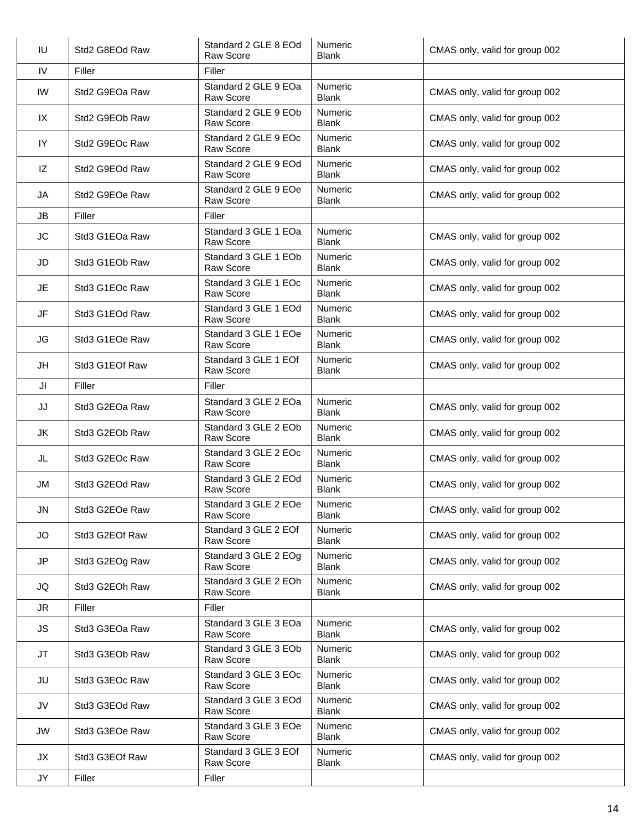| IU        | Std2 G8EOd Raw | Standard 2 GLE 8 EOd<br>Raw Score        | Numeric<br><b>Blank</b>        | CMAS only, valid for group 002 |
|-----------|----------------|------------------------------------------|--------------------------------|--------------------------------|
| IV        | Filler         | Filler                                   |                                |                                |
| IW        | Std2 G9EOa Raw | Standard 2 GLE 9 EOa<br>Raw Score        | Numeric<br><b>Blank</b>        | CMAS only, valid for group 002 |
| IX        | Std2 G9EOb Raw | Standard 2 GLE 9 EOb<br>Raw Score        | Numeric<br><b>Blank</b>        | CMAS only, valid for group 002 |
| IY        | Std2 G9EOc Raw | Standard 2 GLE 9 EOc<br><b>Raw Score</b> | Numeric<br><b>Blank</b>        | CMAS only, valid for group 002 |
| IZ        | Std2 G9EOd Raw | Standard 2 GLE 9 EOd<br>Raw Score        | Numeric<br><b>Blank</b>        | CMAS only, valid for group 002 |
| JA        | Std2 G9EOe Raw | Standard 2 GLE 9 EOe<br>Raw Score        | <b>Numeric</b><br><b>Blank</b> | CMAS only, valid for group 002 |
| JB        | Filler         | Filler                                   |                                |                                |
| <b>JC</b> | Std3 G1EOa Raw | Standard 3 GLE 1 EOa<br>Raw Score        | Numeric<br><b>Blank</b>        | CMAS only, valid for group 002 |
| JD        | Std3 G1EOb Raw | Standard 3 GLE 1 EOb<br>Raw Score        | Numeric<br><b>Blank</b>        | CMAS only, valid for group 002 |
| JE        | Std3 G1EOc Raw | Standard 3 GLE 1 EOc<br>Raw Score        | Numeric<br><b>Blank</b>        | CMAS only, valid for group 002 |
| JF        | Std3 G1EOd Raw | Standard 3 GLE 1 EOd<br>Raw Score        | Numeric<br><b>Blank</b>        | CMAS only, valid for group 002 |
| JG        | Std3 G1EOe Raw | Standard 3 GLE 1 EOe<br>Raw Score        | <b>Numeric</b><br><b>Blank</b> | CMAS only, valid for group 002 |
| JH        | Std3 G1EOf Raw | Standard 3 GLE 1 EOf<br>Raw Score        | Numeric<br><b>Blank</b>        | CMAS only, valid for group 002 |
| JI        | Filler         | Filler                                   |                                |                                |
| JJ        | Std3 G2EOa Raw | Standard 3 GLE 2 EOa<br>Raw Score        | Numeric<br><b>Blank</b>        | CMAS only, valid for group 002 |
| JK        | Std3 G2EOb Raw | Standard 3 GLE 2 EOb<br>Raw Score        | Numeric<br><b>Blank</b>        | CMAS only, valid for group 002 |
| JL        | Std3 G2EOc Raw | Standard 3 GLE 2 EOc<br>Raw Score        | Numeric<br><b>Blank</b>        | CMAS only, valid for group 002 |
| JM        | Std3 G2EOd Raw | Standard 3 GLE 2 EOd<br>Raw Score        | Numeric<br><b>Blank</b>        | CMAS only, valid for group 002 |
| JN        | Std3 G2EOe Raw | Standard 3 GLE 2 EOe<br>Raw Score        | Numeric<br><b>Blank</b>        | CMAS only, valid for group 002 |
| JO        | Std3 G2EOf Raw | Standard 3 GLE 2 EOf<br>Raw Score        | Numeric<br><b>Blank</b>        | CMAS only, valid for group 002 |
| JP        | Std3 G2EOg Raw | Standard 3 GLE 2 EOg<br>Raw Score        | Numeric<br><b>Blank</b>        | CMAS only, valid for group 002 |
| JQ        | Std3 G2EOh Raw | Standard 3 GLE 2 EOh<br>Raw Score        | Numeric<br><b>Blank</b>        | CMAS only, valid for group 002 |
| JR.       | Filler         | Filler                                   |                                |                                |
| JS        | Std3 G3EOa Raw | Standard 3 GLE 3 EOa<br>Raw Score        | Numeric<br><b>Blank</b>        | CMAS only, valid for group 002 |
| <b>JT</b> | Std3 G3EOb Raw | Standard 3 GLE 3 EOb<br>Raw Score        | Numeric<br><b>Blank</b>        | CMAS only, valid for group 002 |
| JU        | Std3 G3EOc Raw | Standard 3 GLE 3 EOc<br>Raw Score        | Numeric<br><b>Blank</b>        | CMAS only, valid for group 002 |
| JV        | Std3 G3EOd Raw | Standard 3 GLE 3 EOd<br>Raw Score        | Numeric<br><b>Blank</b>        | CMAS only, valid for group 002 |
| <b>JW</b> | Std3 G3EOe Raw | Standard 3 GLE 3 EOe<br>Raw Score        | Numeric<br><b>Blank</b>        | CMAS only, valid for group 002 |
| JX        | Std3 G3EOf Raw | Standard 3 GLE 3 EOf<br>Raw Score        | Numeric<br>Blank               | CMAS only, valid for group 002 |
| JY        | Filler         | Filler                                   |                                |                                |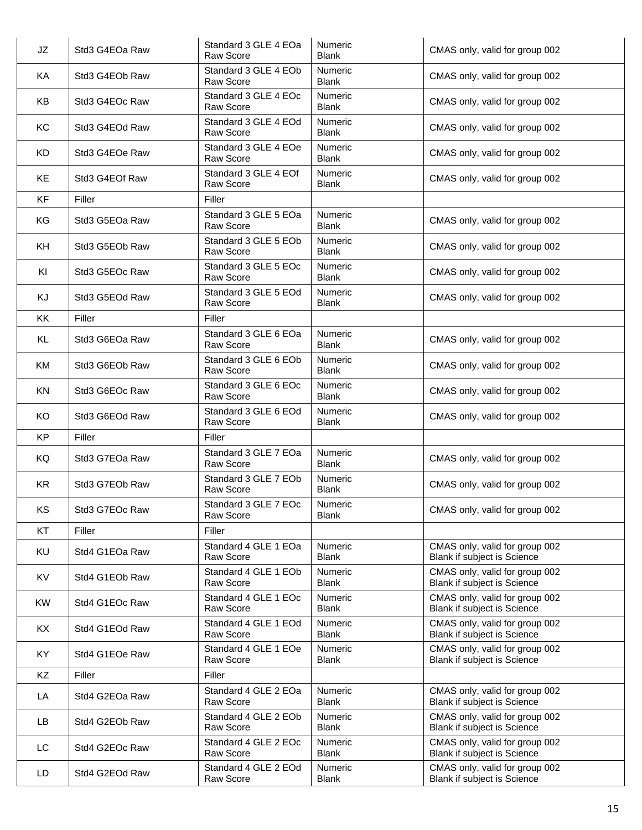| JZ        | Std3 G4EOa Raw | Standard 3 GLE 4 EOa<br><b>Raw Score</b> | Numeric<br><b>Blank</b>        | CMAS only, valid for group 002                                       |
|-----------|----------------|------------------------------------------|--------------------------------|----------------------------------------------------------------------|
| KA        | Std3 G4EOb Raw | Standard 3 GLE 4 EOb<br><b>Raw Score</b> | Numeric<br><b>Blank</b>        | CMAS only, valid for group 002                                       |
| KB        | Std3 G4EOc Raw | Standard 3 GLE 4 EOc<br><b>Raw Score</b> | Numeric<br><b>Blank</b>        | CMAS only, valid for group 002                                       |
| KC        | Std3 G4EOd Raw | Standard 3 GLE 4 EOd<br><b>Raw Score</b> | Numeric<br><b>Blank</b>        | CMAS only, valid for group 002                                       |
| <b>KD</b> | Std3 G4EOe Raw | Standard 3 GLE 4 EOe<br><b>Raw Score</b> | Numeric<br><b>Blank</b>        | CMAS only, valid for group 002                                       |
| KE        | Std3 G4EOf Raw | Standard 3 GLE 4 EOf<br><b>Raw Score</b> | Numeric<br><b>Blank</b>        | CMAS only, valid for group 002                                       |
| KF        | Filler         | Filler                                   |                                |                                                                      |
| KG        | Std3 G5EOa Raw | Standard 3 GLE 5 EOa<br><b>Raw Score</b> | Numeric<br><b>Blank</b>        | CMAS only, valid for group 002                                       |
| KH        | Std3 G5EOb Raw | Standard 3 GLE 5 EOb<br>Raw Score        | Numeric<br><b>Blank</b>        | CMAS only, valid for group 002                                       |
| KI        | Std3 G5EOc Raw | Standard 3 GLE 5 EOc<br>Raw Score        | Numeric<br><b>Blank</b>        | CMAS only, valid for group 002                                       |
| KJ        | Std3 G5EOd Raw | Standard 3 GLE 5 EOd<br><b>Raw Score</b> | Numeric<br><b>Blank</b>        | CMAS only, valid for group 002                                       |
| KK        | Filler         | Filler                                   |                                |                                                                      |
| KL        | Std3 G6EOa Raw | Standard 3 GLE 6 EOa<br>Raw Score        | Numeric<br><b>Blank</b>        | CMAS only, valid for group 002                                       |
| KM        | Std3 G6EOb Raw | Standard 3 GLE 6 EOb<br><b>Raw Score</b> | Numeric<br><b>Blank</b>        | CMAS only, valid for group 002                                       |
| KN        | Std3 G6EOc Raw | Standard 3 GLE 6 EOc<br>Raw Score        | Numeric<br><b>Blank</b>        | CMAS only, valid for group 002                                       |
| KO        | Std3 G6EOd Raw | Standard 3 GLE 6 EOd<br>Raw Score        | Numeric<br><b>Blank</b>        | CMAS only, valid for group 002                                       |
| KP        | Filler         | Filler                                   |                                |                                                                      |
| KQ        | Std3 G7EOa Raw | Standard 3 GLE 7 EOa<br>Raw Score        | <b>Numeric</b><br><b>Blank</b> | CMAS only, valid for group 002                                       |
| <b>KR</b> | Std3 G7EOb Raw | Standard 3 GLE 7 EOb<br>Raw Score        | Numeric<br><b>Blank</b>        | CMAS only, valid for group 002                                       |
| KS        | Std3 G7EOc Raw | Standard 3 GLE 7 EOc<br>Raw Score        | Numeric<br><b>Blank</b>        | CMAS only, valid for group 002                                       |
| <b>KT</b> | Filler         | Filler                                   |                                |                                                                      |
| <b>KU</b> | Std4 G1EOa Raw | Standard 4 GLE 1 EOa<br><b>Raw Score</b> | <b>Numeric</b><br><b>Blank</b> | CMAS only, valid for group 002<br><b>Blank if subject is Science</b> |
| KV        | Std4 G1EOb Raw | Standard 4 GLE 1 EOb<br>Raw Score        | <b>Numeric</b><br><b>Blank</b> | CMAS only, valid for group 002<br>Blank if subject is Science        |
| <b>KW</b> | Std4 G1EOc Raw | Standard 4 GLE 1 EOc<br>Raw Score        | <b>Numeric</b><br><b>Blank</b> | CMAS only, valid for group 002<br>Blank if subject is Science        |
| KX        | Std4 G1EOd Raw | Standard 4 GLE 1 EOd<br>Raw Score        | <b>Numeric</b><br><b>Blank</b> | CMAS only, valid for group 002<br><b>Blank if subject is Science</b> |
| KY        | Std4 G1EOe Raw | Standard 4 GLE 1 EOe<br>Raw Score        | <b>Numeric</b><br><b>Blank</b> | CMAS only, valid for group 002<br>Blank if subject is Science        |
| KZ        | Filler         | Filler                                   |                                |                                                                      |
| LA        | Std4 G2EOa Raw | Standard 4 GLE 2 EOa<br>Raw Score        | <b>Numeric</b><br><b>Blank</b> | CMAS only, valid for group 002<br>Blank if subject is Science        |
| LB        | Std4 G2EOb Raw | Standard 4 GLE 2 EOb<br>Raw Score        | <b>Numeric</b><br><b>Blank</b> | CMAS only, valid for group 002<br>Blank if subject is Science        |
| LC        | Std4 G2EOc Raw | Standard 4 GLE 2 EOc<br>Raw Score        | <b>Numeric</b><br><b>Blank</b> | CMAS only, valid for group 002<br>Blank if subject is Science        |
| LD        | Std4 G2EOd Raw | Standard 4 GLE 2 EOd<br>Raw Score        | <b>Numeric</b><br><b>Blank</b> | CMAS only, valid for group 002<br>Blank if subject is Science        |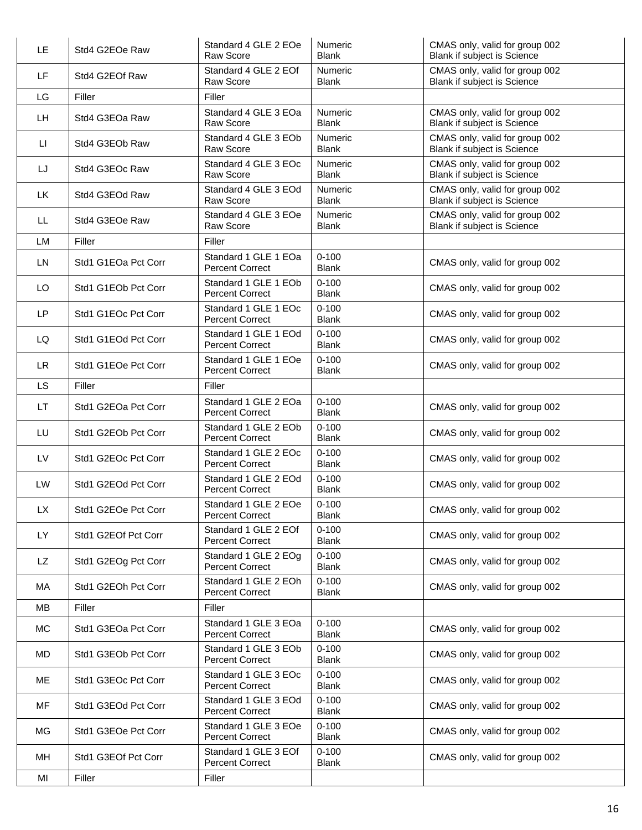| LE.       | Std4 G2EOe Raw      | Standard 4 GLE 2 EOe<br>Raw Score              | Numeric<br><b>Blank</b>        | CMAS only, valid for group 002<br>Blank if subject is Science |
|-----------|---------------------|------------------------------------------------|--------------------------------|---------------------------------------------------------------|
| LF        | Std4 G2EOf Raw      | Standard 4 GLE 2 EOf<br><b>Raw Score</b>       | <b>Numeric</b><br><b>Blank</b> | CMAS only, valid for group 002<br>Blank if subject is Science |
| LG        | Filler              | Filler                                         |                                |                                                               |
| LH.       | Std4 G3EOa Raw      | Standard 4 GLE 3 EOa<br>Raw Score              | Numeric<br><b>Blank</b>        | CMAS only, valid for group 002<br>Blank if subject is Science |
| П         | Std4 G3EOb Raw      | Standard 4 GLE 3 EOb<br>Raw Score              | Numeric<br><b>Blank</b>        | CMAS only, valid for group 002<br>Blank if subject is Science |
| LJ        | Std4 G3EOc Raw      | Standard 4 GLE 3 EOc<br>Raw Score              | <b>Numeric</b><br><b>Blank</b> | CMAS only, valid for group 002<br>Blank if subject is Science |
| <b>LK</b> | Std4 G3EOd Raw      | Standard 4 GLE 3 EOd<br>Raw Score              | Numeric<br><b>Blank</b>        | CMAS only, valid for group 002<br>Blank if subject is Science |
| LL.       | Std4 G3EOe Raw      | Standard 4 GLE 3 EOe<br>Raw Score              | Numeric<br><b>Blank</b>        | CMAS only, valid for group 002<br>Blank if subject is Science |
| <b>LM</b> | Filler              | Filler                                         |                                |                                                               |
| <b>LN</b> | Std1 G1EOa Pct Corr | Standard 1 GLE 1 EOa<br><b>Percent Correct</b> | $0 - 100$<br><b>Blank</b>      | CMAS only, valid for group 002                                |
| LO        | Std1 G1EOb Pct Corr | Standard 1 GLE 1 EOb<br><b>Percent Correct</b> | $0 - 100$<br><b>Blank</b>      | CMAS only, valid for group 002                                |
| <b>LP</b> | Std1 G1EOc Pct Corr | Standard 1 GLE 1 EOc<br><b>Percent Correct</b> | $0 - 100$<br><b>Blank</b>      | CMAS only, valid for group 002                                |
| LQ        | Std1 G1EOd Pct Corr | Standard 1 GLE 1 EOd<br><b>Percent Correct</b> | $0 - 100$<br><b>Blank</b>      | CMAS only, valid for group 002                                |
| LR.       | Std1 G1EOe Pct Corr | Standard 1 GLE 1 EOe<br><b>Percent Correct</b> | $0 - 100$<br><b>Blank</b>      | CMAS only, valid for group 002                                |
| <b>LS</b> | Filler              | Filler                                         |                                |                                                               |
| LT.       | Std1 G2EOa Pct Corr | Standard 1 GLE 2 EOa<br><b>Percent Correct</b> | $0 - 100$<br><b>Blank</b>      | CMAS only, valid for group 002                                |
| LU        | Std1 G2EOb Pct Corr | Standard 1 GLE 2 EOb<br><b>Percent Correct</b> | $0 - 100$<br><b>Blank</b>      | CMAS only, valid for group 002                                |
| LV        | Std1 G2EOc Pct Corr | Standard 1 GLE 2 EOc<br><b>Percent Correct</b> | $0 - 100$<br><b>Blank</b>      | CMAS only, valid for group 002                                |
| <b>LW</b> | Std1 G2EOd Pct Corr | Standard 1 GLE 2 EOd<br><b>Percent Correct</b> | $0 - 100$<br><b>Blank</b>      | CMAS only, valid for group 002                                |
| <b>LX</b> | Std1 G2EOe Pct Corr | Standard 1 GLE 2 EOe<br><b>Percent Correct</b> | $0 - 100$<br><b>Blank</b>      | CMAS only, valid for group 002                                |
| LY        | Std1 G2EOf Pct Corr | Standard 1 GLE 2 EOf<br><b>Percent Correct</b> | $0 - 100$<br><b>Blank</b>      | CMAS only, valid for group 002                                |
| LZ        | Std1 G2EOg Pct Corr | Standard 1 GLE 2 EOg<br><b>Percent Correct</b> | $0 - 100$<br><b>Blank</b>      | CMAS only, valid for group 002                                |
| МA        | Std1 G2EOh Pct Corr | Standard 1 GLE 2 EOh<br><b>Percent Correct</b> | $0 - 100$<br><b>Blank</b>      | CMAS only, valid for group 002                                |
| MВ        | Filler              | Filler                                         |                                |                                                               |
| МC        | Std1 G3EOa Pct Corr | Standard 1 GLE 3 EOa<br><b>Percent Correct</b> | $0 - 100$<br><b>Blank</b>      | CMAS only, valid for group 002                                |
| MD        | Std1 G3EOb Pct Corr | Standard 1 GLE 3 EOb<br><b>Percent Correct</b> | $0 - 100$<br><b>Blank</b>      | CMAS only, valid for group 002                                |
| ME        | Std1 G3EOc Pct Corr | Standard 1 GLE 3 EOc<br><b>Percent Correct</b> | $0 - 100$<br><b>Blank</b>      | CMAS only, valid for group 002                                |
| MF        | Std1 G3EOd Pct Corr | Standard 1 GLE 3 EOd<br><b>Percent Correct</b> | $0 - 100$<br><b>Blank</b>      | CMAS only, valid for group 002                                |
| МG        | Std1 G3EOe Pct Corr | Standard 1 GLE 3 EOe<br><b>Percent Correct</b> | $0 - 100$<br>Blank             | CMAS only, valid for group 002                                |
| MН        | Std1 G3EOf Pct Corr | Standard 1 GLE 3 EOf<br><b>Percent Correct</b> | $0 - 100$<br>Blank             | CMAS only, valid for group 002                                |
| MI        | Filler              | <b>Filler</b>                                  |                                |                                                               |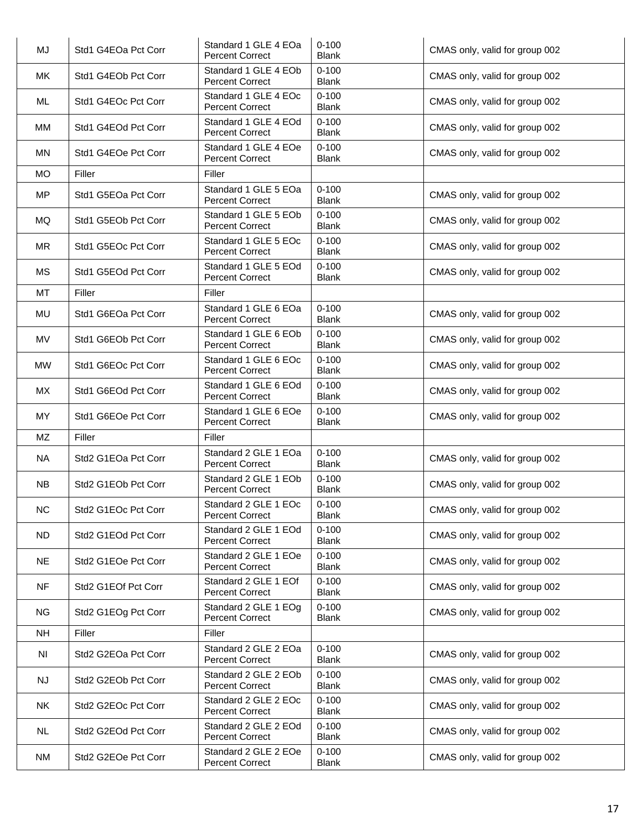| MJ        | Std1 G4EOa Pct Corr | Standard 1 GLE 4 EOa<br><b>Percent Correct</b> | $0 - 100$<br><b>Blank</b> | CMAS only, valid for group 002 |
|-----------|---------------------|------------------------------------------------|---------------------------|--------------------------------|
| <b>MK</b> | Std1 G4EOb Pct Corr | Standard 1 GLE 4 EOb<br><b>Percent Correct</b> | $0 - 100$<br><b>Blank</b> | CMAS only, valid for group 002 |
| ML        | Std1 G4EOc Pct Corr | Standard 1 GLE 4 EOc<br><b>Percent Correct</b> | $0 - 100$<br><b>Blank</b> | CMAS only, valid for group 002 |
| MM        | Std1 G4EOd Pct Corr | Standard 1 GLE 4 EOd<br><b>Percent Correct</b> | $0 - 100$<br><b>Blank</b> | CMAS only, valid for group 002 |
| MN        | Std1 G4EOe Pct Corr | Standard 1 GLE 4 EOe<br><b>Percent Correct</b> | $0 - 100$<br><b>Blank</b> | CMAS only, valid for group 002 |
| <b>MO</b> | Filler              | Filler                                         |                           |                                |
| <b>MP</b> | Std1 G5EOa Pct Corr | Standard 1 GLE 5 EOa<br><b>Percent Correct</b> | $0 - 100$<br><b>Blank</b> | CMAS only, valid for group 002 |
| MQ        | Std1 G5EOb Pct Corr | Standard 1 GLE 5 EOb<br><b>Percent Correct</b> | $0 - 100$<br><b>Blank</b> | CMAS only, valid for group 002 |
| <b>MR</b> | Std1 G5EOc Pct Corr | Standard 1 GLE 5 EOc<br><b>Percent Correct</b> | $0 - 100$<br><b>Blank</b> | CMAS only, valid for group 002 |
| <b>MS</b> | Std1 G5EOd Pct Corr | Standard 1 GLE 5 EOd<br><b>Percent Correct</b> | $0 - 100$<br><b>Blank</b> | CMAS only, valid for group 002 |
| <b>MT</b> | Filler              | Filler                                         |                           |                                |
| MU        | Std1 G6EOa Pct Corr | Standard 1 GLE 6 EOa<br><b>Percent Correct</b> | $0 - 100$<br><b>Blank</b> | CMAS only, valid for group 002 |
| <b>MV</b> | Std1 G6EOb Pct Corr | Standard 1 GLE 6 EOb<br><b>Percent Correct</b> | $0 - 100$<br><b>Blank</b> | CMAS only, valid for group 002 |
| <b>MW</b> | Std1 G6EOc Pct Corr | Standard 1 GLE 6 EOc<br><b>Percent Correct</b> | $0 - 100$<br><b>Blank</b> | CMAS only, valid for group 002 |
| MX        | Std1 G6EOd Pct Corr | Standard 1 GLE 6 EOd<br><b>Percent Correct</b> | $0 - 100$<br><b>Blank</b> | CMAS only, valid for group 002 |
| MY        | Std1 G6EOe Pct Corr | Standard 1 GLE 6 EOe<br><b>Percent Correct</b> | $0 - 100$<br><b>Blank</b> | CMAS only, valid for group 002 |
| <b>MZ</b> | Filler              | Filler                                         |                           |                                |
| <b>NA</b> | Std2 G1EOa Pct Corr | Standard 2 GLE 1 EOa<br><b>Percent Correct</b> | $0 - 100$<br><b>Blank</b> | CMAS only, valid for group 002 |
| <b>NB</b> | Std2 G1EOb Pct Corr | Standard 2 GLE 1 EOb<br><b>Percent Correct</b> | $0 - 100$<br><b>Blank</b> | CMAS only, valid for group 002 |
| $NC$      | Std2 G1EOc Pct Corr | Standard 2 GLE 1 EOc<br><b>Percent Correct</b> | $0 - 100$<br><b>Blank</b> | CMAS only, valid for group 002 |
| <b>ND</b> | Std2 G1EOd Pct Corr | Standard 2 GLE 1 EOd<br><b>Percent Correct</b> | $0 - 100$<br><b>Blank</b> | CMAS only, valid for group 002 |
| <b>NE</b> | Std2 G1EOe Pct Corr | Standard 2 GLE 1 EOe<br><b>Percent Correct</b> | $0 - 100$<br><b>Blank</b> | CMAS only, valid for group 002 |
| <b>NF</b> | Std2 G1EOf Pct Corr | Standard 2 GLE 1 EOf<br><b>Percent Correct</b> | $0 - 100$<br><b>Blank</b> | CMAS only, valid for group 002 |
| <b>NG</b> | Std2 G1EOg Pct Corr | Standard 2 GLE 1 EOg<br><b>Percent Correct</b> | $0 - 100$<br><b>Blank</b> | CMAS only, valid for group 002 |
| <b>NH</b> | Filler              | Filler                                         |                           |                                |
| <b>NI</b> | Std2 G2EOa Pct Corr | Standard 2 GLE 2 EOa<br><b>Percent Correct</b> | $0 - 100$<br><b>Blank</b> | CMAS only, valid for group 002 |
| NJ        | Std2 G2EOb Pct Corr | Standard 2 GLE 2 EOb<br><b>Percent Correct</b> | $0 - 100$<br><b>Blank</b> | CMAS only, valid for group 002 |
| <b>NK</b> | Std2 G2EOc Pct Corr | Standard 2 GLE 2 EOc<br><b>Percent Correct</b> | $0 - 100$<br><b>Blank</b> | CMAS only, valid for group 002 |
| <b>NL</b> | Std2 G2EOd Pct Corr | Standard 2 GLE 2 EOd<br><b>Percent Correct</b> | $0 - 100$<br><b>Blank</b> | CMAS only, valid for group 002 |
| <b>NM</b> | Std2 G2EOe Pct Corr | Standard 2 GLE 2 EOe<br><b>Percent Correct</b> | $0 - 100$<br>Blank        | CMAS only, valid for group 002 |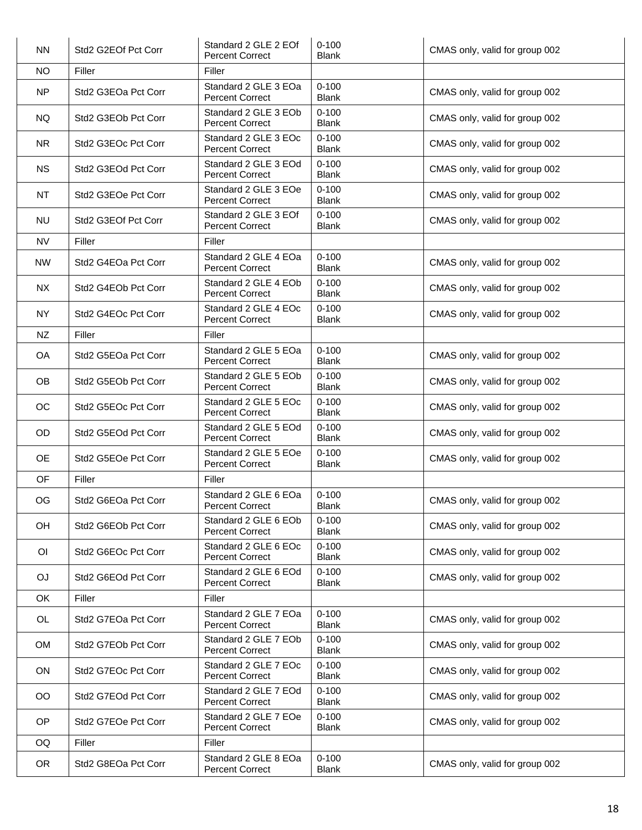| <b>NN</b>      | Std2 G2EOf Pct Corr | Standard 2 GLE 2 EOf<br><b>Percent Correct</b> | $0 - 100$<br><b>Blank</b> | CMAS only, valid for group 002 |
|----------------|---------------------|------------------------------------------------|---------------------------|--------------------------------|
| <b>NO</b>      | Filler              | Filler                                         |                           |                                |
| <b>NP</b>      | Std2 G3EOa Pct Corr | Standard 2 GLE 3 EOa<br><b>Percent Correct</b> | $0 - 100$<br><b>Blank</b> | CMAS only, valid for group 002 |
| <b>NQ</b>      | Std2 G3EOb Pct Corr | Standard 2 GLE 3 EOb<br><b>Percent Correct</b> | $0 - 100$<br><b>Blank</b> | CMAS only, valid for group 002 |
| <b>NR</b>      | Std2 G3EOc Pct Corr | Standard 2 GLE 3 EOc<br><b>Percent Correct</b> | $0 - 100$<br><b>Blank</b> | CMAS only, valid for group 002 |
| <b>NS</b>      | Std2 G3EOd Pct Corr | Standard 2 GLE 3 EOd<br><b>Percent Correct</b> | $0 - 100$<br><b>Blank</b> | CMAS only, valid for group 002 |
| NT             | Std2 G3EOe Pct Corr | Standard 2 GLE 3 EOe<br><b>Percent Correct</b> | $0 - 100$<br><b>Blank</b> | CMAS only, valid for group 002 |
| <b>NU</b>      | Std2 G3EOf Pct Corr | Standard 2 GLE 3 EOf<br><b>Percent Correct</b> | $0 - 100$<br><b>Blank</b> | CMAS only, valid for group 002 |
| <b>NV</b>      | Filler              | Filler                                         |                           |                                |
| <b>NW</b>      | Std2 G4EOa Pct Corr | Standard 2 GLE 4 EOa<br><b>Percent Correct</b> | $0 - 100$<br><b>Blank</b> | CMAS only, valid for group 002 |
| <b>NX</b>      | Std2 G4EOb Pct Corr | Standard 2 GLE 4 EOb<br><b>Percent Correct</b> | $0 - 100$<br><b>Blank</b> | CMAS only, valid for group 002 |
| <b>NY</b>      | Std2 G4EOc Pct Corr | Standard 2 GLE 4 EOc<br><b>Percent Correct</b> | $0 - 100$<br><b>Blank</b> | CMAS only, valid for group 002 |
| NZ             | Filler              | Filler                                         |                           |                                |
| OA             | Std2 G5EOa Pct Corr | Standard 2 GLE 5 EOa<br><b>Percent Correct</b> | $0 - 100$<br><b>Blank</b> | CMAS only, valid for group 002 |
| <b>OB</b>      | Std2 G5EOb Pct Corr | Standard 2 GLE 5 EOb<br><b>Percent Correct</b> | $0 - 100$<br><b>Blank</b> | CMAS only, valid for group 002 |
| OC             | Std2 G5EOc Pct Corr | Standard 2 GLE 5 EOc<br><b>Percent Correct</b> | $0 - 100$<br><b>Blank</b> | CMAS only, valid for group 002 |
| OD             | Std2 G5EOd Pct Corr | Standard 2 GLE 5 EOd<br><b>Percent Correct</b> | $0 - 100$<br><b>Blank</b> | CMAS only, valid for group 002 |
| <b>OE</b>      | Std2 G5EOe Pct Corr | Standard 2 GLE 5 EOe<br><b>Percent Correct</b> | $0 - 100$<br><b>Blank</b> | CMAS only, valid for group 002 |
| OF             | Filler              | Filler                                         |                           |                                |
| OG             | Std2 G6EOa Pct Corr | Standard 2 GLE 6 EOa<br><b>Percent Correct</b> | $0 - 100$<br><b>Blank</b> | CMAS only, valid for group 002 |
| OH             | Std2 G6EOb Pct Corr | Standard 2 GLE 6 EOb<br><b>Percent Correct</b> | $0 - 100$<br><b>Blank</b> | CMAS only, valid for group 002 |
| O <sub>1</sub> | Std2 G6EOc Pct Corr | Standard 2 GLE 6 EOc<br><b>Percent Correct</b> | $0 - 100$<br><b>Blank</b> | CMAS only, valid for group 002 |
| OJ             | Std2 G6EOd Pct Corr | Standard 2 GLE 6 EOd<br><b>Percent Correct</b> | $0 - 100$<br><b>Blank</b> | CMAS only, valid for group 002 |
| OK             | Filler              | Filler                                         |                           |                                |
| OL             | Std2 G7EOa Pct Corr | Standard 2 GLE 7 EOa<br><b>Percent Correct</b> | $0 - 100$<br><b>Blank</b> | CMAS only, valid for group 002 |
| <b>OM</b>      | Std2 G7EOb Pct Corr | Standard 2 GLE 7 EOb<br><b>Percent Correct</b> | $0 - 100$<br><b>Blank</b> | CMAS only, valid for group 002 |
| ON             | Std2 G7EOc Pct Corr | Standard 2 GLE 7 EOc<br><b>Percent Correct</b> | $0 - 100$<br><b>Blank</b> | CMAS only, valid for group 002 |
| <b>OO</b>      | Std2 G7EOd Pct Corr | Standard 2 GLE 7 EOd<br><b>Percent Correct</b> | $0 - 100$<br><b>Blank</b> | CMAS only, valid for group 002 |
| OP             | Std2 G7EOe Pct Corr | Standard 2 GLE 7 EOe<br><b>Percent Correct</b> | $0 - 100$<br><b>Blank</b> | CMAS only, valid for group 002 |
| OQ             | Filler              | Filler                                         |                           |                                |
| <b>OR</b>      | Std2 G8EOa Pct Corr | Standard 2 GLE 8 EOa<br><b>Percent Correct</b> | $0 - 100$<br>Blank        | CMAS only, valid for group 002 |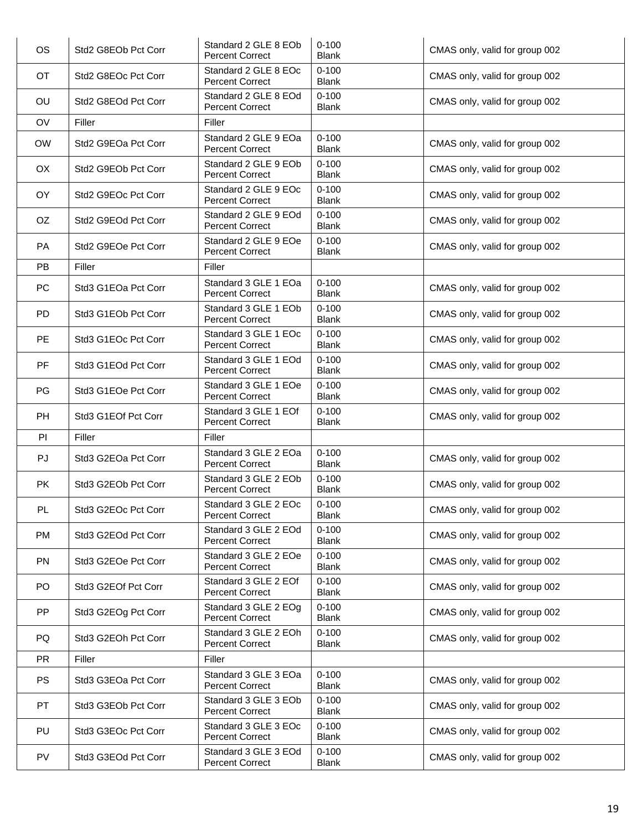| <b>OS</b> | Std2 G8EOb Pct Corr | Standard 2 GLE 8 EOb<br><b>Percent Correct</b> | $0 - 100$<br><b>Blank</b> | CMAS only, valid for group 002 |
|-----------|---------------------|------------------------------------------------|---------------------------|--------------------------------|
| OT        | Std2 G8EOc Pct Corr | Standard 2 GLE 8 EOc<br><b>Percent Correct</b> | $0 - 100$<br><b>Blank</b> | CMAS only, valid for group 002 |
| OU        | Std2 G8EOd Pct Corr | Standard 2 GLE 8 EOd<br><b>Percent Correct</b> | $0 - 100$<br><b>Blank</b> | CMAS only, valid for group 002 |
| OV        | Filler              | Filler                                         |                           |                                |
| <b>OW</b> | Std2 G9EOa Pct Corr | Standard 2 GLE 9 EOa<br><b>Percent Correct</b> | $0 - 100$<br><b>Blank</b> | CMAS only, valid for group 002 |
| OX        | Std2 G9EOb Pct Corr | Standard 2 GLE 9 EOb<br><b>Percent Correct</b> | $0 - 100$<br><b>Blank</b> | CMAS only, valid for group 002 |
| OY        | Std2 G9EOc Pct Corr | Standard 2 GLE 9 EOc<br><b>Percent Correct</b> | $0 - 100$<br><b>Blank</b> | CMAS only, valid for group 002 |
| OZ.       | Std2 G9EOd Pct Corr | Standard 2 GLE 9 EOd<br><b>Percent Correct</b> | $0 - 100$<br><b>Blank</b> | CMAS only, valid for group 002 |
| PA        | Std2 G9EOe Pct Corr | Standard 2 GLE 9 EOe<br><b>Percent Correct</b> | $0 - 100$<br><b>Blank</b> | CMAS only, valid for group 002 |
| <b>PB</b> | Filler              | Filler                                         |                           |                                |
| PC        | Std3 G1EOa Pct Corr | Standard 3 GLE 1 EOa<br><b>Percent Correct</b> | $0 - 100$<br><b>Blank</b> | CMAS only, valid for group 002 |
| <b>PD</b> | Std3 G1EOb Pct Corr | Standard 3 GLE 1 EOb<br><b>Percent Correct</b> | $0 - 100$<br><b>Blank</b> | CMAS only, valid for group 002 |
| PE        | Std3 G1EOc Pct Corr | Standard 3 GLE 1 EOc<br><b>Percent Correct</b> | $0 - 100$<br><b>Blank</b> | CMAS only, valid for group 002 |
| <b>PF</b> | Std3 G1EOd Pct Corr | Standard 3 GLE 1 EOd<br><b>Percent Correct</b> | $0 - 100$<br><b>Blank</b> | CMAS only, valid for group 002 |
| PG        | Std3 G1EOe Pct Corr | Standard 3 GLE 1 EOe<br><b>Percent Correct</b> | $0 - 100$<br><b>Blank</b> | CMAS only, valid for group 002 |
| PH        | Std3 G1EOf Pct Corr | Standard 3 GLE 1 EOf<br><b>Percent Correct</b> | $0 - 100$<br><b>Blank</b> | CMAS only, valid for group 002 |
| PI        | Filler              | Filler                                         |                           |                                |
| PJ        | Std3 G2EOa Pct Corr | Standard 3 GLE 2 EOa<br><b>Percent Correct</b> | $0 - 100$<br><b>Blank</b> | CMAS only, valid for group 002 |
| <b>PK</b> | Std3 G2EOb Pct Corr | Standard 3 GLE 2 EOb<br><b>Percent Correct</b> | $0 - 100$<br><b>Blank</b> | CMAS only, valid for group 002 |
| <b>PL</b> | Std3 G2EOc Pct Corr | Standard 3 GLE 2 EOc<br><b>Percent Correct</b> | $0 - 100$<br><b>Blank</b> | CMAS only, valid for group 002 |
| PM        | Std3 G2EOd Pct Corr | Standard 3 GLE 2 EOd<br><b>Percent Correct</b> | $0 - 100$<br><b>Blank</b> | CMAS only, valid for group 002 |
| <b>PN</b> | Std3 G2EOe Pct Corr | Standard 3 GLE 2 EOe<br><b>Percent Correct</b> | $0 - 100$<br><b>Blank</b> | CMAS only, valid for group 002 |
| PO        | Std3 G2EOf Pct Corr | Standard 3 GLE 2 EOf<br><b>Percent Correct</b> | $0 - 100$<br><b>Blank</b> | CMAS only, valid for group 002 |
| PP        | Std3 G2EOg Pct Corr | Standard 3 GLE 2 EOg<br><b>Percent Correct</b> | $0 - 100$<br><b>Blank</b> | CMAS only, valid for group 002 |
| PQ        | Std3 G2EOh Pct Corr | Standard 3 GLE 2 EOh<br><b>Percent Correct</b> | $0 - 100$<br><b>Blank</b> | CMAS only, valid for group 002 |
| <b>PR</b> | Filler              | Filler                                         |                           |                                |
| <b>PS</b> | Std3 G3EOa Pct Corr | Standard 3 GLE 3 EOa<br><b>Percent Correct</b> | $0 - 100$<br><b>Blank</b> | CMAS only, valid for group 002 |
| <b>PT</b> | Std3 G3EOb Pct Corr | Standard 3 GLE 3 EOb<br><b>Percent Correct</b> | $0 - 100$<br><b>Blank</b> | CMAS only, valid for group 002 |
| PU        | Std3 G3EOc Pct Corr | Standard 3 GLE 3 EOc<br><b>Percent Correct</b> | $0 - 100$<br><b>Blank</b> | CMAS only, valid for group 002 |
| PV        | Std3 G3EOd Pct Corr | Standard 3 GLE 3 EOd<br><b>Percent Correct</b> | $0 - 100$<br>Blank        | CMAS only, valid for group 002 |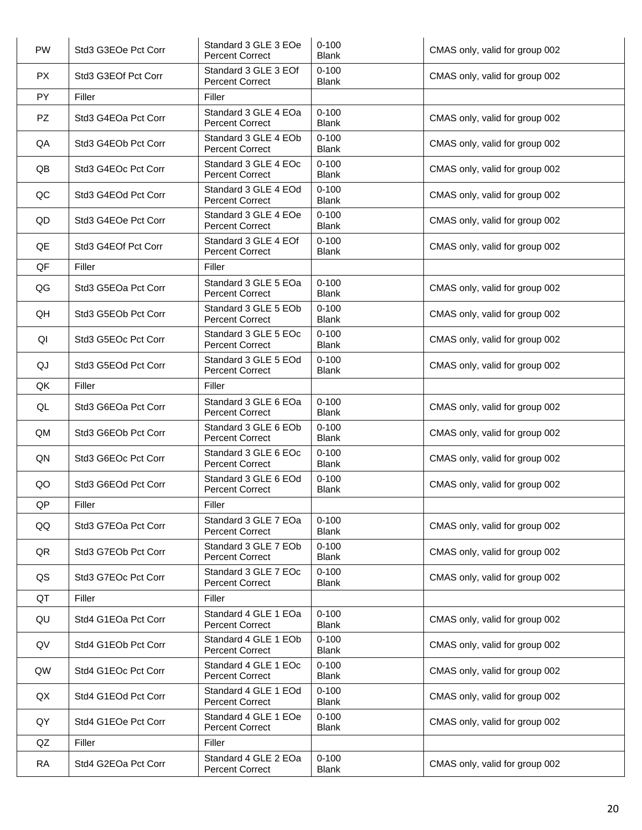| <b>PW</b> | Std3 G3EOe Pct Corr | Standard 3 GLE 3 EOe<br><b>Percent Correct</b> | $0 - 100$<br><b>Blank</b> | CMAS only, valid for group 002 |
|-----------|---------------------|------------------------------------------------|---------------------------|--------------------------------|
| <b>PX</b> | Std3 G3EOf Pct Corr | Standard 3 GLE 3 EOf<br><b>Percent Correct</b> | $0 - 100$<br><b>Blank</b> | CMAS only, valid for group 002 |
| PY        | Filler              | Filler                                         |                           |                                |
| <b>PZ</b> | Std3 G4EOa Pct Corr | Standard 3 GLE 4 EOa<br><b>Percent Correct</b> | $0 - 100$<br><b>Blank</b> | CMAS only, valid for group 002 |
| QA        | Std3 G4EOb Pct Corr | Standard 3 GLE 4 EOb<br><b>Percent Correct</b> | $0 - 100$<br><b>Blank</b> | CMAS only, valid for group 002 |
| QB        | Std3 G4EOc Pct Corr | Standard 3 GLE 4 EOc<br><b>Percent Correct</b> | $0 - 100$<br><b>Blank</b> | CMAS only, valid for group 002 |
| QC        | Std3 G4EOd Pct Corr | Standard 3 GLE 4 EOd<br><b>Percent Correct</b> | $0 - 100$<br><b>Blank</b> | CMAS only, valid for group 002 |
| QD        | Std3 G4EOe Pct Corr | Standard 3 GLE 4 EOe<br><b>Percent Correct</b> | $0 - 100$<br><b>Blank</b> | CMAS only, valid for group 002 |
| QE        | Std3 G4EOf Pct Corr | Standard 3 GLE 4 EOf<br><b>Percent Correct</b> | $0 - 100$<br><b>Blank</b> | CMAS only, valid for group 002 |
| QF        | Filler              | Filler                                         |                           |                                |
| QG        | Std3 G5EOa Pct Corr | Standard 3 GLE 5 EOa<br><b>Percent Correct</b> | $0 - 100$<br><b>Blank</b> | CMAS only, valid for group 002 |
| QH        | Std3 G5EOb Pct Corr | Standard 3 GLE 5 EOb<br><b>Percent Correct</b> | $0 - 100$<br><b>Blank</b> | CMAS only, valid for group 002 |
| QI        | Std3 G5EOc Pct Corr | Standard 3 GLE 5 EOc<br><b>Percent Correct</b> | $0 - 100$<br><b>Blank</b> | CMAS only, valid for group 002 |
| QJ        | Std3 G5EOd Pct Corr | Standard 3 GLE 5 EOd<br><b>Percent Correct</b> | $0 - 100$<br><b>Blank</b> | CMAS only, valid for group 002 |
| QK        | Filler              | Filler                                         |                           |                                |
| QL        | Std3 G6EOa Pct Corr | Standard 3 GLE 6 EOa<br><b>Percent Correct</b> | $0 - 100$<br><b>Blank</b> | CMAS only, valid for group 002 |
| QM        | Std3 G6EOb Pct Corr | Standard 3 GLE 6 EOb<br><b>Percent Correct</b> | $0 - 100$<br><b>Blank</b> | CMAS only, valid for group 002 |
| QN        | Std3 G6EOc Pct Corr | Standard 3 GLE 6 EOc<br><b>Percent Correct</b> | $0 - 100$<br><b>Blank</b> | CMAS only, valid for group 002 |
| QO        | Std3 G6EOd Pct Corr | Standard 3 GLE 6 EOd<br><b>Percent Correct</b> | $0 - 100$<br><b>Blank</b> | CMAS only, valid for group 002 |
| QP        | Filler              | Filler                                         |                           |                                |
| QQ        | Std3 G7EOa Pct Corr | Standard 3 GLE 7 EOa<br><b>Percent Correct</b> | $0 - 100$<br><b>Blank</b> | CMAS only, valid for group 002 |
| QR        | Std3 G7EOb Pct Corr | Standard 3 GLE 7 EOb<br><b>Percent Correct</b> | $0 - 100$<br><b>Blank</b> | CMAS only, valid for group 002 |
| QS        | Std3 G7EOc Pct Corr | Standard 3 GLE 7 EOc<br><b>Percent Correct</b> | $0 - 100$<br><b>Blank</b> | CMAS only, valid for group 002 |
| QT        | Filler              | Filler                                         |                           |                                |
| QU        | Std4 G1EOa Pct Corr | Standard 4 GLE 1 EOa<br><b>Percent Correct</b> | $0 - 100$<br><b>Blank</b> | CMAS only, valid for group 002 |
| QV        | Std4 G1EOb Pct Corr | Standard 4 GLE 1 EOb<br><b>Percent Correct</b> | $0 - 100$<br><b>Blank</b> | CMAS only, valid for group 002 |
| QW        | Std4 G1EOc Pct Corr | Standard 4 GLE 1 EOc<br><b>Percent Correct</b> | $0 - 100$<br>Blank        | CMAS only, valid for group 002 |
| QX        | Std4 G1EOd Pct Corr | Standard 4 GLE 1 EOd<br><b>Percent Correct</b> | $0 - 100$<br><b>Blank</b> | CMAS only, valid for group 002 |
| QY        | Std4 G1EOe Pct Corr | Standard 4 GLE 1 EOe<br><b>Percent Correct</b> | $0 - 100$<br><b>Blank</b> | CMAS only, valid for group 002 |
| QZ        | Filler              | Filler                                         |                           |                                |
| <b>RA</b> | Std4 G2EOa Pct Corr | Standard 4 GLE 2 EOa<br><b>Percent Correct</b> | $0 - 100$<br><b>Blank</b> | CMAS only, valid for group 002 |